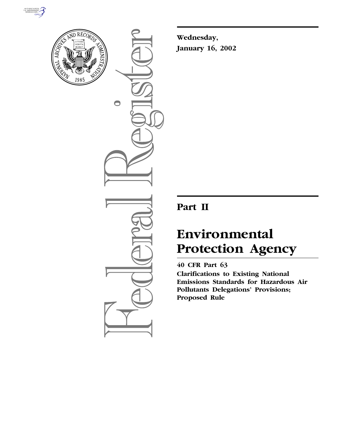



 $\bigcirc$ 

**Wednesday, January 16, 2002**

# **Part II**

# **Environmental Protection Agency**

# **40 CFR Part 63**

**Clarifications to Existing National Emissions Standards for Hazardous Air Pollutants Delegations' Provisions; Proposed Rule**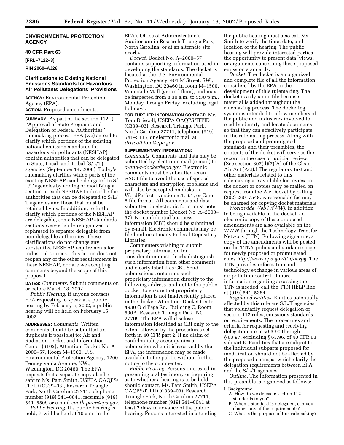#### **ENVIRONMENTAL PROTECTION AGENCY**

#### **40 CFR Part 63**

**[FRL–7122–3]**

#### **RIN 2060–AJ26**

#### **Clarifications to Existing National Emissions Standards for Hazardous Air Pollutants Delegations' Provisions**

**AGENCY:** Environmental Protection Agency (EPA).

**ACTION:** Proposed amendments.

**SUMMARY:** As part of the section 112(l), ''Approval of State Programs and Delegation of Federal Authorities'' rulemaking process, EPA (we) agreed to clarify which portions of the existing national emission standards for hazardous air pollutants (NESHAP) contain authorities that can be delegated to State, Local, and Tribal (S/L/T) agencies (September 14, 2000). Today's rulemaking clarifies which parts of the existing NESHAP can be delegated to S/ L/T agencies by adding or modifying a section in each NESHAP to describe the authorities that can be delegated to S/L/ T agencies and those that must be retained by us. In addition, to further clarify which portions of the NESHAP are delegable, some NESHAP standards sections were slightly reorganized or rephrased to separate delegable from non-delegable authorities. These clarifications do not change any substantive NESHAP requirements for industrial sources. This action does not reopen any of the other requirements in these NESHAP, nor are we accepting comments beyond the scope of this proposal.

**DATES:** *Comments.* Submit comments on or before March 18, 2002.

*Public Hearing.* If anyone contacts EPA requesting to speak at a public hearing by February 5, 2002, a public hearing will be held on February 15, 2002.

**ADDRESSES:** *Comments.* Written comments should be submitted (in duplicate if possible) to: Air and Radiation Docket and Information Center (6102), Attention: Docket No. A– 2000–57, Room M–1500, U.S. Environmental Protection Agency, 1200 Pennsylvania Avenue, NW., Washington, DC 20460. The EPA requests that a separate copy also be sent to Ms. Pam Smith, USEPA OAQPS/ ITPID (C339–03), Research Triangle Park, North Carolina 27711, telephone number (919) 541–0641, facsimile (919) 541–5509 or e-mail *smith.pam@epa.gov.*

*Public Hearing.* If a public hearing is held, it will be held at 10 a.m. in the

EPA's Office of Administration's Auditorium in Research Triangle Park, North Carolina, or at an alternate site nearby.

*Docket.* Docket No. A–2000–57 contains supporting information used in developing the standards. The docket is located at the U.S. Environmental Protection Agency, 401 M Street, SW., Washington, DC 20460 in room M–1500, Waterside Mall (ground floor), and may be inspected from 8:30 a.m. to 5:30 p.m., Monday through Friday, excluding legal holidays.

**FOR FURTHER INFORMATION CONTACT:** Mr. Tom Driscoll, USEPA OAQPS/ITPID (C339–03), Research Triangle Park, North Carolina 27711, telephone (919) 541–5135, or electronic mail at *driscoll.tom@epa.gov.*

#### **SUPPLEMENTARY INFORMATION:**

*Comments.* Comments and data may be submitted by electronic mail (e-mail) to: *a-and-r-docket@epa.gov.* Electronic comments must be submitted as an ASCII file to avoid the use of special characters and encryption problems and will also be accepted on disks in WordPerfect<sup>®</sup> version 5.1, 6.1, or Corel<sup>®</sup> 8 file format. All comments and data submitted in electronic form must note the docket number (Docket No. A–2000– 57). No confidential business information (CBI) should be submitted by e-mail. Electronic comments may be filed online at many Federal Depository Libraries.

Commenters wishing to submit proprietary information for consideration must clearly distinguish such information from other comments and clearly label it as CBI. Send submissions containing such proprietary information directly to the following address, and not to the public docket, to ensure that proprietary information is not inadvertently placed in the docket: Attention: Docket Center, 4930 Old Page Rd., Building C, Room 530A, Research Triangle Park, NC 27709. The EPA will disclose information identified as CBI only to the extent allowed by the procedures set forth in 40 CFR part 2. If no claim of confidentiality accompanies a submission when it is received by the EPA, the information may be made available to the public without further notice to the commenter.

*Public Hearing.* Persons interested in presenting oral testimony or inquiring as to whether a hearing is to be held should contact, Ms. Pam Smith, USEPA OAQPS/ITPID (C339–03), Research Triangle Park, North Carolina 27711, telephone number (919) 541–0641 at least 2 days in advance of the public hearing. Persons interested in attending

the public hearing must also call Ms. Smith to verify the time, date, and location of the hearing. The public hearing will provide interested parties the opportunity to present data, views, or arguments concerning these proposed emission standards.

*Docket.* The docket is an organized and complete file of all the information considered by the EPA in the development of this rulemaking. The docket is a dynamic file because material is added throughout the rulemaking process. The docketing system is intended to allow members of the public and industries involved to readily identify and locate documents so that they can effectively participate in the rulemaking process. Along with the proposed and promulgated standards and their preambles, the contents of the docket will serve as the record in the case of judicial review. (See section  $307(d)(7)(A)$  of the Clean Air Act (Act).) The regulatory text and other materials related to this rulemaking are available for review in the docket or copies may be mailed on request from the Air Docket by calling (202) 260–7548. A reasonable fee may be charged for copying docket materials.

*Worldwide Web (WWW).* In addition to being available in the docket, an electronic copy of these proposed amendments are also available on the WWW through the Technology Transfer Network (TTN). Following signature, a copy of the amendments will be posted on the TTN's policy and guidance page for newly proposed or promulgated rules *http://www.epa.gov/ttn/oarpg.* The TTN provides information and technology exchange in various areas of air pollution control. If more information regarding accessing the TTN is needed, call the TTN HELP line at (919) 541–5384.

*Regulated Entities.* Entities potentially affected by this rule are S/L/T agencies that voluntarily request delegation of section 112 rules, emissions standards, or requirements. The procedures and criteria for requesting and receiving delegation are in § 63.90 through § 63.97, excluding § 63.96, of 40 CFR 63 subpart E. Facilities that are subject to the individual subparts proposed for modification should not be affected by the proposed changes, which clarify the delegation requirements between EPA and the S/L/T agencies.

*Outline.* The information presented in this preamble is organized as follows:

#### I. Background

- A. How do we delegate section 112 standards to you?
- B. When a standard is delegated, can you change any of the requirements?
- C. What is the purpose of this rulemaking?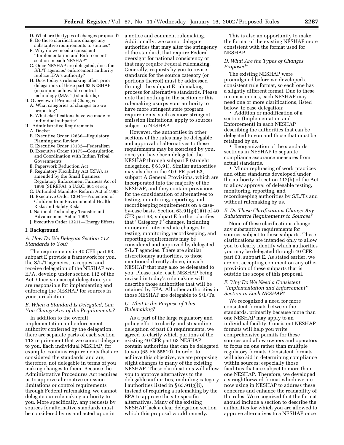- D. What are the types of changes proposed?
- E. Do these clarifications change any
- substantive requirements to sources? F. Why do we need a consistent ''Implementation and Enforcement'' section in each NESHAP?
- G. Once NESHAP are delegated, does the S/L/T agencies' enforcement authority replace EPA's authority?
- H. Does today's rulemaking affect prior delegations of these part 63 NESHAP (maximum achievable control technology (MACT) standards)?
- II. Overview of Proposed Changes
- A. What categories of changes are we proposing?
- B. What clarifications have we made to individual subparts?
- III. Administrative Requirements
	- A. Docket
	- B. Executive Order 12866—Regulatory Planning and Review
	- C. Executive Order 13132—Federalism
	- D. Executive Order 13175—Consultation and Coordination with Indian Tribal Governments
	- E. Paperwork Reduction Act
	- F. Regulatory Flexibility Act (RFA), as amended by the Small Business Regulatory Enforcement Fairness Act of 1996 (SBREFA), 5 U.S.C. 601 et seq
	- G. Unfunded Mandates Reform Act of 1995
	- H. Executive Order 13045—Protection of Children from Environmental Health Risks and Safety Risks
	- I. National Technology Transfer and Advancement Act of 1995
	- J. Executive Order 13211—Energy Effects

#### **I. Background**

#### *A. How Do We Delegate Section 112 Standards to You?*

The requirements in 40 CFR part 63, subpart E provide a framework for you, the S/L/T agencies, to request and receive delegation of the NESHAP we, EPA, develop under section 112 of the Act. Once you accept delegation, you are responsible for implementing and enforcing the NESHAP for sources in your jurisdiction.

#### *B. When a Standard Is Delegated, Can You Change Any of the Requirements?*

In addition to the overall implementation and enforcement authority conferred by the delegation, there are separate parts of each section 112 requirement that we cannot delegate to you. Each individual NESHAP, for example, contains requirements that are considered the standards' and are, therefore, not delegable in terms of you making changes to them. Because the Administrative Procedures Act requires us to approve alternative emission limitations or control requirements through Federal rulemaking, we cannot delegate our rulemaking authority to you. More specifically, any requests by sources for alternative standards must be considered by us and acted upon in

a notice and comment rulemaking. Additionally, we cannot delegate authorities that may alter the stringency of the standard, that require Federal oversight for national consistency or that may require Federal rulemaking. Generally, requests by you to revise standards for the source category (or portions thereof) must be addressed through the subpart E rulemaking process for alternative standards. Please note that nothing in the section or this rulemaking usurps your authority to have more stringent state program requirements, such as more stringent emission limitations, apply to sources subject to NESHAP.

However, the authorities in other sections of the rules may be delegable, and approval of alternatives to these requirements may be exercised by you, once you have been delegated the NESHAP through subpart E (straight delegation, § 63.91). Similar authorities may also be in the 40 CFR part 63, subpart A General Provisions, which are incorporated into the majority of the NESHAP, and they contain provisions for the consideration of alternatives to testing, monitoring, reporting, and recordkeeping requirements on a caseby-case basis. Section 63.91(g)(1)(i) of 40 CFR part 63, subpart E further clarifies that ''Category I'' changes, including minor and intermediate changes to testing, monitoring, recordkeeping, and reporting requirements may be considered and approved by delegated S/L/T agencies. There are similar discretionary authorities, to those mentioned directly above, in each NESHAP that may also be delegated to you. Please note, each NESHAP being revised in today's rulemaking will describe those authorities that will be retained by EPA. All other authorities in those NESHAP are delegable to S/L/Ts.

#### *C. What Is the Purpose of This Rulemaking?*

As a part of the large regulatory and policy effort to clarify and streamline delegation of part 63 requirements, we agreed to clarify which portions of the existing 40 CFR part 63 NESHAP contain authorities that can be delegated to you (65 FR 55810). In order to achieve this objective, we are proposing slight changes to many of the existing NESHAP. These clarifications will allow you to approve alternatives to the delegable authorities, including category I authorities listed in  $\S 63.91(g)(i)$ , instead of requiring a rulemaking by the EPA to approve the site-specific alternatives. Many of the existing NESHAP lack a clear delegation section which this proposal would remedy.

This is also an opportunity to make the format of the existing NESHAP more consistent with the format used for NESHAP.

#### *D. What Are the Types of Changes Proposed?*

The existing NESHAP were promulgated before we developed a consistent rule format, so each one has a slightly different format. Due to these inconsistencies, each NESHAP may need one or more clarifications, listed below, to ease delegation:

• Addition or modification of a section (Implementation and Enforcement) in each NESHAP describing the authorities that can be delegated to you and those that must be retained by us.

• Reorganization of the standards sections in NESHAP to separate compliance assurance measures from actual standards.

• Minor rephrasing of work practices and other standards developed under the authority of section 112(h) of the Act to allow approval of delegable testing, monitoring, reporting, and recordkeeping authorities by S/L/Ts and without rulemaking by us.

#### *E. Do These Clarifications Change Any Substantive Requirements to Sources?*

None of these clarifications change any substantive requirements for sources subject to these subparts. These clarifications are intended only to allow you to clearly identify which authorities you may be delegated through 40 CFR part 63, subpart E. As stated earlier, we are not accepting comment on any other provision of these subparts that is outside the scope of this proposal.

#### *F. Why Do We Need a Consistent ''Implementation and Enforcement'' Section in Each NESHAP?*

We recognized a need for more consistent formats between the standards, primarily because more than one NESHAP may apply to an individual facility. Consistent NESHAP formats will help you write comprehensive permits for these sources and allow owners and operators to focus on one rather than multiple regulatory formats. Consistent formats will also aid in determining compliance within sources; especially those facilities that are subject to more than one NESHAP. Therefore, we developed a straightforward format which we are now using in NESHAP to address these concerns and enhance the readability of the rules. We recognized that the format should include a section to describe the authorities for which you are allowed to approve alternatives to a NESHAP once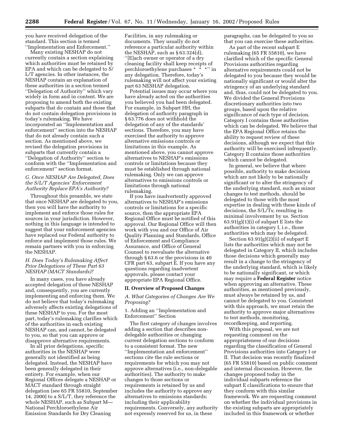you have received delegation of the standard. This section is termed ''Implementation and Enforcement.''

Many existing NESHAP do not currently contain a section explaining which authorities must be retained by EPA and which can be delegated to S/ L/T agencies. In other instances, the NESHAP contain an explanation of these authorities in a section termed ''Delegation of Authority'' which vary widely in form and in content. We are proposing to amend both the existing subparts that do contain and those that do not contain delegation provisions in today's rulemaking. We have incorporated an ''Implementation and enforcement'' section into the NESHAP that do not already contain such a section. As mentioned above, we revised the delegation provisions in subparts that currently contain a ''Delegation of Authority'' section to conform with the ''Implementation and enforcement'' section format.

#### *G. Once NESHAP Are Delegated, Does the S/L/T Agencies' Enforcement Authority Replace EPA's Authority?*

Throughout this preamble, we state that once NESHAP are delegated to you, then you will have the authority to implement and enforce those rules for sources in your jurisdiction. However, nothing in this language is intended to suggest that your enforcement agencies have replaced our Federal authority to enforce and implement those rules. We remain partners with you in enforcing the NESHAP.

#### *H. Does Today's Rulemaking Affect Prior Delegations of These Part 63 NESHAP (MACT Standards)?*

In many cases, you have already accepted delegation of these NESHAP and, consequently, you are currently implementing and enforcing them. We do not believe that today's rulemaking adversely affects existing delegations of these NESHAP to you. For the most part, today's rulemaking clarifies which of the authorities in each existing NESHAP can, and cannot, be delegated to you, so that you can approve or disapprove alternative requirements.

In all prior delegations, specific authorities in the NESHAP were generally not identified as being delegated. Instead, the NESHAP have been generally delegated in their entirety. For example, when our Regional Offices delegate a NESHAP or MACT standard through straight delegation (see 65 FR 55810, September 14, 2000) to a S/L/T, they reference the whole NESHAP, such as Subpart M— National Perchloroethylene Air Emission Standards for Dry Cleaning

Facilities, in any rulemaking or documents. They usually do not reference a particular authority within the NESHAP, such as § 63.324(d), ''[E]ach owner or operator of a dry cleaning facility shall keep receipts of perchloroethylene purchases \* \* \*'' in any delegation. Therefore, today's rulemaking will not affect your existing part 63 NESHAP delegation.

Potential issues may occur where you have already acted on the authorities you believed you had been delegated. For example, in Subpart HH, the delegation of authority paragraph in § 63.776 does not withhold the delegation of any of the standards' sections. Therefore, you may have exercised the authority to approve alternative emissions controls or limitations in this example. As mentioned above, you cannot approve alternatives to NESHAP's emissions controls or limitations because they must be established through national rulemaking. Only we can approve alternatives to emissions controls or limitations through national rulemaking.

If you have inadvertently approved alternatives to NESHAP's emissions controls or limitations for a specific source, then the appropriate EPA Regional Office must be notified of this approval. Our Regional Office will then work with you and our Office of Air Quality Planning and Standards, Office of Enforcement and Compliance Assurance, and Office of General Counsel to reevaluate the alternative through § 63.6 or the provisions in 40 CFR part 63, subpart E. If you have any questions regarding inadvertent approvals, please contact your appropriate EPA Regional Office.

#### **II. Overview of Proposed Changes**

#### *A. What Categories of Changes Are We Proposing?*

1. Adding an ''Implementation and Enforcement'' Section

The first category of changes involves adding a section that describes nondelegable authorities or changing current delegation sections to conform to a consistent format. The new ''Implementation and enforcement'' sections cite the rule sections or requirements for which you may not approve alternatives (i.e., non-delegable authorities). The authority to make changes to those sections or requirements is retained by us and includes the authority to approve any alternatives to emissions standards; including their applicability requirements. Conversely, any authority not expressly reserved for us, in these

paragraphs, can be delegated to you so that you can exercise these authorities.

As part of the recent subpart E rulemaking (65 FR 55810), we have clarified which of the specific General Provisions authorities regarding alternative requirements could not be delegated to you because they would be nationally significant or would alter the stringency of an underlying standard and, thus, could not be delegated to you. We divided the General Provisions discretionary authorities into two groups, based upon the relative significance of each type of decision. Category I contains those authorities which can be delegated. We believe that the EPA Regional Office retains the ability to request review of these decisions, although we expect that this authority will be exercised infrequently. Category II contains those authorities which cannot be delegated.

In general, we believe that where possible, authority to make decisions which are not likely to be nationally significant or to alter the stringency of the underlying standard, such as minor changes to test methods, should be delegated to those with the most expertise in dealing with these kinds of decisions, the S/L/Ts; resulting in minimal involvement by us. Section  $63.91(g)(1)(i)$  of subpart E lists the authorities in category I, i.e., those authorities which may be delegated.

Section  $63.91(g)(2)(ii)$  of subpart E lists the authorities which may not be delegated in Category II, which includes those decisions which generally may result in a change to the stringency of the underlying standard, which is likely to be nationally significant, or which may require a **Federal Register** notice when approving an alternative. These authorities, as mentioned previously, must always be retained by us, and cannot be delegated to you. Consistent with this approach, we must retain the authority to approve major alternatives to test methods, monitoring, recordkeeping, and reporting.

With this proposal, we are not requesting comment on the appropriateness of our decisions regarding the classification of General Provisions authorities into Category I or II. That decision was recently finalized (65 FR 55810) based on public comment and internal discussion. However, the changes proposed today in the individual subparts reference the subpart E classifications to ensure that they conform with this similar framework. We are requesting comment on whether the individual provisions in the existing subparts are appropriately included in this framework or whether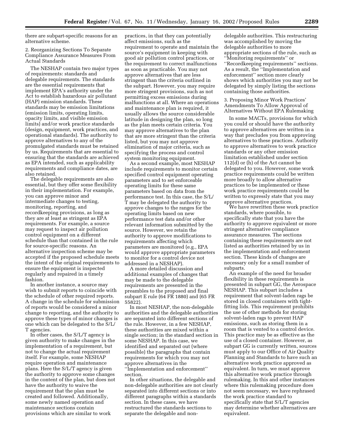there are subpart-specific reasons for an alternative scheme.

2. Reorganizing Sections To Separate Compliance Assurance Measures From Actual Standards

The NESHAP contain two major types of requirements: standards and delegable requirements. The standards are the essential requirements that implement EPA's authority under the Act to establish hazardous air pollutant (HAP) emission standards. These standards may be emission limitations (emission limits, operating limits, opacity limits, and visible emission limits) and/or work practice standards (design, equipment, work practices, and operational standards). The authority to approve alternatives to any of the promulgated standards must be retained by us. Requirements that are essential to ensuring that the standards are achieved as EPA intended, such as applicability requirements and compliance dates, are also retained.

The delegable requirements are also essential, but they offer some flexibility in their implementation. For example, you can approve minor and intermediate changes to testing, monitoring, reporting, and recordkeeping provisions, as long as they are at least as stringent as EPA requirements. For example, a source may request to inspect air pollution control equipment on a different schedule than that contained in the rule for source-specific reasons. An alternative inspection scheme may be accepted if the proposed schedule meets the intent of the original requirements to ensure the equipment is inspected regularly and repaired in a timely fashion.

In another instance, a source may wish to submit reports to coincide with the schedule of other required reports. A change in the schedule for submission of reports would be considered a minor change to reporting, and the authority to approve these types of minor changes is one which can be delegated to the S/L/ T agencies.

In other cases, the S/L/T agency is given authority to make changes in the implementation of a requirement, but not to change the actual requirement itself. For example, some NESHAP require operation and maintenance plans. Here the S/L/T agency is given the authority to approve some changes in the content of the plan, but does not have the authority to waive the requirement that the plan must be created and followed. Additionally, some newly named operation and maintenance sections contain provisions which are similar to work

practices, in that they can potentially affect emissions, such as the requirement to operate and maintain the source's equipment in keeping with good air pollution control practices, or the requirement to correct malfunctions as soon as practicable. You may not approve alternatives that are less stringent than the criteria outlined in the subpart. However, you may require more stringent provisions, such as not permitting excess emissions during malfunctions at all. Where an operations and maintenance plan is required, it usually allows the source considerable latitude in designing the plan, so long as the plan meets certain criteria. You may approve alternatives to the plan that are more stringent than the criteria listed, but you may not approve elimination of major criteria, such as specifying the process and control system monitoring equipment.

As a second example, most NESHAP include requirements to monitor certain specified control equipment operating parameters and to set enforceable operating limits for these same parameters based on data from the performance test. In this case, the S/L/ T may be delegated the authority to approve changes to the ranges for the operating limits based on new performance test data and/or other relevant information submitted by the source. However, we retain the authority to approve modifications to requirements affecting which parameters are monitored (e.g., EPA would approve appropriate parameters to monitor for a control device not addressed in a NESHAP).

A more detailed discussion and additional examples of changes that may be made to the delegable requirements are presented in the preambles to the proposed and final subpart E rule (64 FR 1880) and (65 FR 55822).

In most NESHAP, the non-delegable authorities and the delegable authorities are separated into different sections of the rule. However, in a few NESHAP, these authorities are mixed within a single section; in the standard section in some NESHAP. In this case, we identified and separated out (where possible) the paragraphs that contain requirements for which you may not approve alternatives in the ''Implementation and enforcement'' section.

In other situations, the delegable and non-delegable authorities are not clearly separated into different sections or into different paragraphs within a standards section. In these cases, we have restructured the standards sections to separate the delegable and non-

delegable authorities. This restructuring was accomplished by moving the delegable authorities to more appropriate sections of the rule, such as ''Monitoring requirements'' or ''Recordkeeping requirements'' sections. As a result, the ''Implementation and enforcement'' section more clearly shows which authorities you may not be delegated by simply listing the sections containing those authorities.

3. Proposing Minor Work Practices' Amendments To Allow Approval of Alternatives Without EPA Rulemaking

In some MACTs, provisions for which you could or should have the authority to approve alternatives are written in a way that precludes you from approving alternatives to these practices. Authority to approve alternatives to work practice standards or any other emission limitation established under section 112(d) or (h) of the Act cannot be delegated to you. However, some work practice requirements could be written more broadly to allow alternative practices to be implemented or these work practice requirements could be written to expressly state that you may approve alternative practices.

We have rewritten these work practice standards, where possible, to specifically state that you have the authority to approve equivalent or more stringent alternative compliance assurance measures. The sections containing these requirements are not listed as authorities retained by us in the implementation and enforcement section. These kinds of changes are necessary only for a small number of subparts.

An example of the need for broader flexibility in these requirements is presented in subpart GG, the Aerospace NESHAP. This subpart includes a requirement that solvent-laden rags be stored in closed containers with tightfitting lids. This requirement prohibits the use of other methods for storing solvent-laden rags to prevent HAP emissions, such as storing them in a room that is vented to a control device. This practice may be as effective as the use of a closed container. However, as subpart GG is currently written, sources must apply to our Office of Air Quality Planning and Standards to have such an alternative work practice approved as equivalent. In turn, we must approve this alternative work practice through rulemaking. In this and other instances where this rulemaking procedure does not seem necessary, we have rephrased the work practice standard to specifically state that S/L/T agencies may determine whether alternatives are equivalent.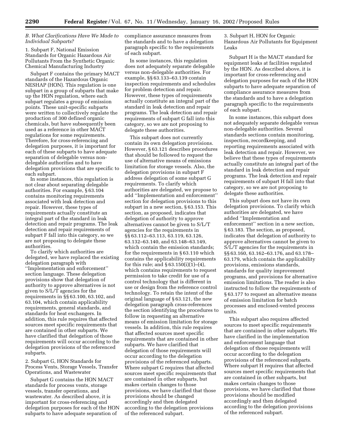#### *B. What Clarifications Have We Made to Individual Subparts?*

1. Subpart F, National Emission Standards for Organic Hazardous Air Pollutants From the Synthetic Organic Chemical Manufacturing Industry

Subpart F contains the primary MACT standards of the Hazardous Organic NESHAP (HON). This regulation is one subpart in a group of subparts that make up the HON regulation, where each subpart regulates a group of emission points. These unit-specific subparts were written to collectively regulate the production of 300 defined organic chemicals, but have subsequently been used as a reference in other MACT regulations for some requirements. Therefore, for cross-referencing and delegation purposes, it is important for each of these subparts to have adequate separation of delegable versus nondelegable authorities and to have delegation provisions that are specific to each subpart.

In some instances, this regulation is not clear about separating delegable authorities. For example, § 63.104 contains monitoring requirements associated with leak detection and repair. However, these types of requirements actually constitute an integral part of the standard in leak detection and repair programs. The leak detection and repair requirements of subpart F fall into this category, so we are not proposing to delegate these authorities.

To clarify which authorities are delegated, we have replaced the existing delegation paragraph with ''Implementation and enforcement'' section language. These delegation provisions show that delegation of authority to approve alternatives is not given to S/L/T agencies for the requirements in §§ 63.100, 63.102, and 63.104, which contain applicability requirements, general standards, and standards for heat exchangers. In addition, this rule requires that affected sources meet specific requirements that are contained in other subparts. We have clarified that delegation of those requirements will occur according to the delegation provisions of the referenced subparts.

2. Subpart G, HON Standards for Process Vents, Storage Vessels, Transfer Operations, and Wastewater

Subpart G contains the HON MACT standards for process vents, storage vessels, transfer operations, and wastewater. As described above, it is important for cross-referencing and delegation purposes for each of the HON subparts to have adequate separation of

compliance assurance measures from the standards and to have a delegation paragraph specific to the requirements of each subpart.

In some instances, this regulation does not adequately separate delegable versus non-delegable authorities. For example, §§ 63.133–63.139 contain inspection requirements and schedules for problem detection and repair. However, these types of requirements actually constitute an integral part of the standard in leak detection and repair programs. The leak detection and repair requirements of subpart G fall into this category, so we are not proposing to delegate these authorities.

This subpart does not currently contain its own delegation provisions. However, § 63.121 describes procedures that should be followed to request the use of alternative means of emissions limitation for storage vessels. Also, the delegation provisions in subpart F address delegation of some subpart G requirements. To clarify which authorities are delegated, we propose to add ''Implementation and enforcement'' section for delegation provisions to this subpart in a new section, § 63.153. This section, as proposed, indicates that delegation of authority to approve alternatives cannot be given to S/L/T agencies for the requirements in §§ 63.112–63.113, 63.119, 63.126, 63.132–63.140, and 63.148–63.149, which contain the emission standards; for the requirements in § 63.110 which contains the applicability requirements for this rule; and  $\S 63.150(i)(1)–(4)$ , which contains requirements to request permission to take credit for use of a control technology that is different in use or design from the reference control technology. To retain the intent of the original language of § 63.121, the new delegation paragraph cross-references the section identifying the procedures to follow in requesting an alternative means of emission limitation for storage vessels. In addition, this rule requires that affected sources meet specific requirements that are contained in other subparts. We have clarified that delegation of those requirements will occur according to the delegation provisions of the referenced subparts. Where subpart G requires that affected sources meet specific requirements that are contained in other subparts, but makes certain changes to those provisions, we have clarified that those provisions should be changed accordingly and then delegated according to the delegation provisions of the referenced subpart.

3. Subpart H, HON for Organic Hazardous Air Pollutants for Equipment Leaks

Subpart H is the MACT standard for equipment leaks at facilities regulated by the HON. As described above, it is important for cross-referencing and delegation purposes for each of the HON subparts to have adequate separation of compliance assurance measures from the standards and to have a delegation paragraph specific to the requirements of each subpart.

In some instances, this subpart does not adequately separate delegable versus non-delegable authorities. Several standards sections contain monitoring, inspection, recordkeeping, and reporting requirements associated with leak detection and repair. However, we believe that these types of requirements actually constitute an integral part of the standard in leak detection and repair programs. The leak detection and repair requirements of subpart H fall into that category, so we are not proposing to delegate these authorities.

This subpart does not have its own delegation provisions. To clarify which authorities are delegated, we have added ''Implementation and enforcement'' section in a new section, § 63.183. The section, as proposed, indicates that delegation of authority to approve alternatives cannot be given to S/L/T agencies for the requirements in §§ 63.160, 63.162–63.176, and 63.178– 63.179, which contain the applicability provisions, emissions standards, standards for quality improvement programs, and provisions for alternative emission limitations. The reader is also instructed to follow the requirements of § 63.177 to request an alternative means of emission limitation for batch processes and enclosed-vented process units.

This subpart also requires affected sources to meet specific requirements that are contained in other subparts. We have clarified in the implementation and enforcement language that delegation of those requirements will occur according to the delegation provisions of the referenced subparts. Where subpart H requires that affected sources meet specific requirements that are contained in other subparts, but makes certain changes to those provisions, we have clarified that those provisions should be modified accordingly and then delegated according to the delegation provisions of the referenced subpart.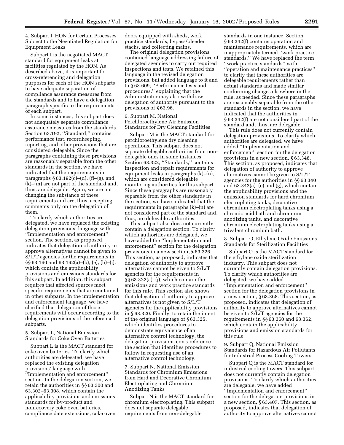4. Subpart I, HON for Certain Processes Subject to the Negotiated Regulation for Equipment Leaks

Subpart I is the negotiated MACT standard for equipment leaks at facilities regulated by the HON. As described above, it is important for cross-referencing and delegation purposes for each of the HON subparts to have adequate separation of compliance assurance measures from the standards and to have a delegation paragraph specific to the requirements of each subpart.

In some instances, this subpart does not adequately separate compliance assurance measures from the standards. Section 63.192, "Standard," contains performance test, recordkeeping, reporting, and other provisions that are considered delegable. Since the paragraphs containing these provisions are reasonably separable from the other standards in the section, we have indicated that the requirements in paragraphs  $§ 63.192(c)–(d)$ , (f)–(g), and (k)–(m) are not part of the standard and, thus, are delegable. Again, we are not changing the substance of these requirements and are, thus, accepting comments only on the delegation of them.

To clarify which authorities are delegated, we have replaced the existing delegation provisions' language with ''Implementation and enforcement'' section. The section, as proposed, indicates that delegation of authority to approve alternatives cannot be given to S/L/T agencies for the requirements in §§ 63.190 and 63.192(a)–(b), (e), (h)–(j), which contain the applicability provisions and emissions standards for this subpart. In addition, this subpart requires that affected sources meet specific requirements that are contained in other subparts. In the implementation and enforcement language, we have clarified that delegation of those requirements will occur according to the delegation provisions of the referenced subparts.

5. Subpart L, National Emission Standards for Coke Oven Batteries

Subpart L is the MACT standard for coke oven batteries. To clarify which authorities are delegated, we have replaced the existing delegation provisions' language with ''Implementation and enforcement'' section. In the delegation section, we retain the authorities in §§ 63.300 and 63.302–63.308, which contain the applicability provisions and emissions standards for by-product and nonrecovery coke oven batteries, compliance date extensions, coke oven doors equipped with sheds, work practice standards, bypass/bleeder stacks, and collecting mains.

The original delegation provisions contained language addressing failure of delegated agencies to carry out required inspections and tests. We retained this language in the revised delegation provisions, but added language to it and to § 63.609, ''Performance tests and procedures,'' explaining that the Administrator may also withdraw delegation of authority pursuant to the provisions of § 63.96.

6. Subpart M, National Perchloroethylene Air Emission Standards for Dry Cleaning Facilities

Subpart M is the MACT standard for perchloroethylene dry cleaning operations. This subpart does not separate delegable authorities from nondelegable ones in some instances. Section 63.322, ''Standards,'' contains inspection and repair requirements for equipment leaks in paragraphs (k)–(n), which are considered delegable monitoring authorities for this subpart. Since these paragraphs are reasonably separable from the other standards in the section, we have indicated that the requirements in paragraphs (k)–(n) are not considered part of the standard and, thus, are delegable authorities.

This subpart also does not currently contain a delegation section. To clarify which authorities are delegated, we have added the ''Implementation and enforcement'' section for the delegation provisions in a new section, § 63.326. This section, as proposed, indicates that delegation of authority to approve alternatives cannot be given to S/L/T agencies for the requirements in §§ 63.322(a)–(j), which contain the emissions and work practice standards for this rule. This section also shows that delegation of authority to approve alternatives is not given to S/L/T agencies for the applicability provisions in § 63.320. Finally, to retain the intent of the original language of § 63.325, which identifies procedures to demonstrate equivalence of an alternative control technology, the delegation provisions cross-reference the section that identifies procedures to follow in requesting use of an alternative control technology.

7. Subpart N, National Emission Standards for Chromium Emissions from Hard and Decorative Chromium Electroplating and Chromium Anodizing Tanks

Subpart N is the MACT standard for chromium electroplating. This subpart does not separate delegable requirements from non-delegable

standards in one instance. Section § 63.342(f) contains operation and maintenance requirements, which are inappropriately termed ''work practice standards.'' We have replaced the term ''work practice standards'' with ''operation and maintenance practices'' to clarify that these authorities are delegable requirements rather than actual standards and made similar conforming changes elsewhere in the rule, as needed. Since these paragraphs are reasonably separable from the other standards in the section, we have indicated that the authorities in § 63.342(f) are not considered part of the standard and, thus, are delegable.

This rule does not currently contain delegation provisions. To clarify which authorities are delegated, we have added ''Implementation and enforcement'' section for the delegation provisions in a new section, § 63.348. This section, as proposed, indicates that delegation of authority to approve alternatives cannot be given to S/L/T agencies for the authorities in §§ 63.340 and 63.342(a)–(e) and (g), which contain the applicability provisions and the emission standards for hard chromium electroplating tanks, decorative chromium electroplating tanks using a chromic acid bath and chromium anodizing tanks, and decorative chromium electroplating tanks using a trivalent chromium bath.

8. Subpart O, Ethylene Oxide Emissions Standards for Sterilization Facilities

Subpart O is the MACT standard for the ethylene oxide sterilization industry. This subpart does not currently contain delegation provisions. To clarify which authorities are delegated, we have added ''Implementation and enforcement'' section for the delegation provisions in a new section, § 63.368. This section, as proposed, indicates that delegation of authority to approve alternatives cannot be given to S/L/T agencies for the requirements in §§ 63.360 and 63.362, which contain the applicability provisions and emission standards for this rule.

9. Subpart Q, National Emission Standards for Hazardous Air Pollutants for Industrial Process Cooling Towers

Subpart Q is the MACT standard for industrial cooling towers. This subpart does not currently contain delegation provisions. To clarify which authorities are delegable, we have added ''Implementation and enforcement'' section for the delegation provisions in a new section, § 63.407. This section, as proposed, indicates that delegation of authority to approve alternatives cannot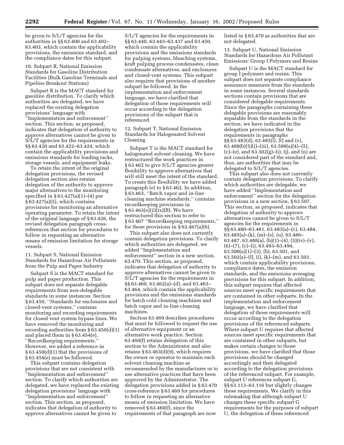be given to S/L/T agencies for the authorities in §§ 63.400 and 63.402– 63.403, which contain the applicability provisions, the emissions standard, and the compliance dates for this subpart.

10. Subpart R, National Emission Standards for Gasoline Distribution Facilities (Bulk Gasoline Terminals and Pipeline Breakout Stations)

Subpart R is the MACT standard for gasoline distribution. To clarify which authorities are delegated, we have replaced the existing delegation provisions' language with ''Implementation and enforcement'' section. This section, as proposed, indicates that delegation of authority to approve alternatives cannot be given to S/L/T agencies for the requirements in §§ 63.420 and 63.422–63.424, which contain the applicability provisions and emissions standards for loading racks, storage vessels, and equipment leaks.

To retain the intent of the original delegation provisions, the revised delegation section also retains delegation of the authority to approve major alternatives to the monitoring specified in § 63.427(a)(1)–(4) per § 63.427(a)(5), which contains provisions for monitoring an alternative operating parameter. To retain the intent of the original language of § 63.426, the revised delegation paragraph crossreferences that section for procedures to follow in requesting an alternative means of emission limitation for storage vessels.

11. Subpart S, National Emission Standards for Hazardous Air Pollutants from the Pulp and Paper Industry

Subpart S is the MACT standard for pulp and paper production. This subpart does not separate delegable requirements from non-delegable standards in some instances. Section § 63.450, ''Standards for enclosures and closed-vent systems,'' contains monitoring and recording requirements for closed vent system bypass lines. We have removed the monitoring and recording authorities from § 63.450(d)(1) and placed them in § 63.454(e), ''Recordkeeping requirements.'' However, we added a reference in § 63.450(d)(1) that the provisions of § 63.454(e) must be followed.

This subpart contains delegation provisions that are not consistent with ''Implementation and enforcement'' section. To clarify which authorities are delegated, we have replaced the existing delegation provisions' language with ''Implementation and enforcement'' section. This section, as proposed, indicates that delegation of authority to approve alternatives cannot be given to

S/L/T agencies for the requirements in §§ 63.440, 63.443–63.437 and 63.450, which contain the applicability provisions and the emissions standards for pulping systems, bleaching systems, kraft pulping process condensates, clean condensate alternatives, and enclosures and closed-vent systems. This subpart also requires that provisions of another subpart be followed. In the implementation and enforcement language, we have clarified that delegation of those requirements will occur according to the delegation provisions of the subpart that is referenced.

12. Subpart T, National Emission Standards for Halogenated Solvent Cleaning

Subpart T is the MACT standard for halogenated solvent cleaning. We have restructured the work practices in § 63.462 to give S/L/T agencies greater flexibility to approve alternatives that will still meet the intent of the standard. To create this flexibility we have added paragraph (e) to § 63.462. In addition, § 63.463, ''Batch vapor and in-line cleaning machine standards,'' contains recordkeeping provisions in § 63.463(e)(2)(ix)(B). We have restructured this section to refer to § 63.467 ''Recordkeeping requirements,'' for these provisions in  $\S 63.467(a)(6)$ .

This subpart also does not currently contain delegation provisions. To clarify which authorities are delegated, we added ''Implementation and enforcement'' section in a new section, 63.470. This section, as proposed, indicates that delegation of authority to approve alternatives cannot be given to S/L/T agencies for the requirements in §§ 63.460, 63.462(a)–(d), and 63.463– 63.464, which contain the applicability provisions and the emissions standards for batch cold cleaning machines and batch vapor and in-line cleaning machines.

Section 63.469 describes procedures that must be followed to request the use of alternative equipment or an alternative work practice. Section 63.460(f) retains delegation of this section to the Administrator and also retains § 63.463(d)(9), which requires the owner or operator to maintain each solvent cleaning machine as recommended by the manufacturer or to use alternative practices that have been approved by the Administrator. The delegation provisions added in § 63.470 cross-reference § 63.469 for procedures to follow in requesting an alternative means of emission limitation. We have removed § 63.460(f), since the requirements of that paragraph are now

listed in § 63.470 as authorities that are not delegated.

13. Subpart U, National Emission Standards for Hazardous Air Pollutant Emissions: Group I Polymers and Resins

Subpart U is the MACT standard for group I polymers and resins. This subpart does not separate compliance assurance measures from the standards in some instances. Several standards sections contain provisions that are considered delegable requirements. Since the paragraphs containing these delegable provisions are reasonably separable from the standards in the section, we have indicated in the delegation provisions that the requirements in paragraphs §§ 63.483(d), 63.485(l), (t) and (v),  $63.488(b)(5)(i)$ –(iii),  $63.500(a)(4)$ –(5),  $(c)$ – $(e)$ , and  $63.502(g)$ – $(i)$ ,  $(i)$ , and  $(n)$  are not considered part of the standard and, thus, are authorities that may be delegated to S/L/T agencies.

This subpart also does not currently contain delegation provisions. To clarify which authorities are delegable, we have added ''Implementation and enforcement'' section for the delegation provisions in a new section, § 63.507. This section, as proposed, indicates that delegation of authority to approve alternatives cannot be given to S/L/T agencies for the requirements in §§ 63.480–63.481, 63.483(a)–(c), 63.484, 63.485(a)–(k), (m)–(s), (u), 63.486– 63.487, 63.488(a), (b)(1)–(4), (5)(iv)–(v), (6)–(7), (c)–(i), 63.493–63.494, 63.500(a)(1)–(3), (b), 63.501, and 63.502(a)–(f), (i), (k)–(m), and 63.503, which contain applicability provisions, compliance dates, the emission standards, and the emissions averaging provisions for this subpart. In addition, this subpart requires that affected sources meet specific requirements that are contained in other subparts. In the implementation and enforcement language, we have clarified that delegation of those requirements will occur according to the delegation provisions of the referenced subparts. Where subpart U requires that affected sources meet specific requirements that are contained in other subparts, but makes certain changes to those provisions, we have clarified that those provisions should be changed accordingly and then delegated according to the delegation provisions of the referenced subpart. For example, subpart U references subpart G, §§ 63.113–63.116 but slightly changes these requirements. We clarify in this rulemaking that although subpart U changes these specific subpart G requirements for the purposes of subpart U, the delegation of these referenced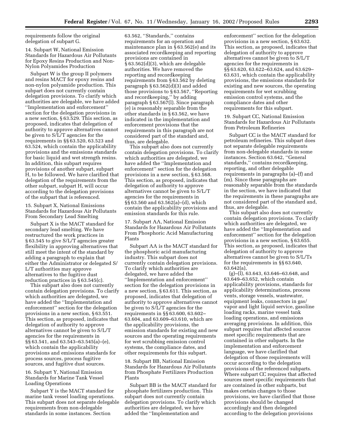requirements follow the original delegation of subpart G.

14. Subpart W, National Emission Standards for Hazardous Air Pollutants for Epoxy Resins Production and Non-Nylon Polyamides Production

Subpart W is the group II polymers and resins MACT for epoxy resins and non-nylon polyamide production. This subpart does not currently contain delegation provisions. To clarify which authorities are delegable, we have added ''Implementation and enforcement'' section for the delegation provisions in a new section, § 63.529. This section, as proposed, indicates that delegation of authority to approve alternatives cannot be given to S/L/T agencies for the requirements in §§ 63.520, 63.523 and 63.524, which contain the applicability provisions and the emissions standards for basic liquid and wet strength resins. In addition, this subpart requires provisions of another subpart, subpart H, to be followed. We have clarified that delegation of the requirements from the other subpart, subpart H, will occur according to the delegation provisions of the subpart that is referenced.

15. Subpart X, National Emissions Standards for Hazardous Air Pollutants From Secondary Lead Smelting

Subpart X is the MACT standard for secondary lead smelting. We have restructured the work practices in § 63.545 to give S/L/T agencies greater flexibility in approving alternatives that still meet the intent of the standard by adding a paragraph to explain that either the Administrator or delegated S/ L/T authorities may approve alternatives to the fugitive dust reduction practices in § 63.545(c).

This subpart also does not currently contain delegation provisions. To clarify which authorities are delegated, we have added the ''Implementation and enforcement'' section for the delegation provisions in a new section, § 63.551. This section, as proposed, indicates that delegation of authority to approve alternatives cannot be given to S/L/T agencies for the requirements in §§ 63.541, and 63.543–63.545(a)–(e), which contain the applicability provisions and emissions standards for process sources, process fugitive sources, and fugitive dust sources.

16. Subpart Y, National Emission Standards for Marine Tank Vessel Loading Operations

Subpart Y is the MACT standard for marine tank vessel loading operations. This subpart does not separate delegable requirements from non-delegable standards in some instances. Section

63.562, ''Standards,'' contains requirements for an operation and maintenance plan in § 63.562(e) and its associated recordkeeping and reporting provisions are contained in § 63.562(d)(3), which are delegable authorities. We have removed the reporting and recordkeeping requirements from § 63.562 by deleting paragraph § 63.562(d)(3) and added those provisions to § 63.567, ''Reporting and recordkeeping,'' by adding paragraph § 63.567(l). Since paragraph (e) is reasonably separable from the other standards in § 63.562, we have indicated in the implementation and enforcement provisions that the requirements in this paragraph are not considered part of the standard and, thus, are delegable.

This subpart also does not currently contain delegation provisions. To clarify which authorities are delegated, we have added the ''Implementation and enforcement'' section for the delegation provisions in a new section, § 63.568. This section, as proposed, indicates that delegation of authority to approve alternatives cannot be given to S/L/T agencies for the requirements in §§ 63.560 and 63.562(a)–(d), which contain the applicability provisions and emission standards for this rule.

17. Subpart AA, National Emission Standards for Hazardous Air Pollutants From Phosphoric Acid Manufacturing Plants

Subpart AA is the MACT standard for the phosphoric acid manufacturing industry. This subpart does not currently contain delegation provisions. To clarify which authorities are delegated, we have added the ''Implementation and enforcement'' section for the delegation provisions in a new section, § 63.611. This section, as proposed, indicates that delegation of authority to approve alternatives cannot be given to S/L/T agencies for the requirements in §§ 63.600, 63.602– 63.604, and 63.609–63.610, which are the applicability provisions, the emission standards for existing and new sources and the operating requirements for wet scrubbing emission control systems, the compliance dates, and other requirements for this subpart.

18. Subpart BB, National Emission Standards for Hazardous Air Pollutants from Phosphate Fertilizers Production Plants

Subpart BB is the MACT standard for phosphate fertilizers production. This subpart does not currently contain delegation provisions. To clarify which authorities are delegated, we have added the ''Implementation and

enforcement'' section for the delegation provisions in a new section, § 63.632. This section, as proposed, indicates that delegation of authority to approve alternatives cannot be given to S/L/T agencies for the requirements in §§ 63.620, 63.622–63.624, and 63.629– 63.631, which contain the applicability provisions, the emissions standards for existing and new sources, the operating requirements for wet scrubbing emission control systems, and the compliance dates and other requirements for this subpart.

19. Subpart CC, National Emission Standards for Hazardous Air Pollutants from Petroleum Refineries

Subpart CC is the MACT standard for petroleum refineries. This subpart does not separate delegable requirements from non-delegable standards in some instances. Section 63.642, ''General standards,'' contains recordkeeping, reporting, and other delegable requirements in paragraphs (a)–(f) and (m). Since these paragraphs are reasonably separable from the standards in the section, we have indicated that the requirements in these paragraphs are not considered part of the standard and, thus, are delegable.

This subpart also does not currently contain delegation provisions. To clarify which authorities are delegated, we have added the ''Implementation and enforcement'' section for the delegation provisions in a new section, § 63.655. This section, as proposed, indicates that delegation of authority to approve alternatives cannot be given to S/L/Ts for the requirements in §§ 63.640, 63.642(a),

(g)–(l), 63.643, 63.646–63.648, and 63.649–63.652, which contain applicability provisions, standards for applicability determinations, process vents, storage vessels, wastewater, equipment leaks, connectors in gas/ vapor and light liquid service, gasoline loading racks, marine vessel tank loading operations, and emissions averaging provisions. In addition, this subpart requires that affected sources meet specific requirements that are contained in other subparts. In the implementation and enforcement language, we have clarified that delegation of those requirements will occur according to the delegation provisions of the referenced subparts. Where subpart CC requires that affected sources meet specific requirements that are contained in other subparts, but makes certain changes to those provisions, we have clarified that those provisions should be changed accordingly and then delegated according to the delegation provisions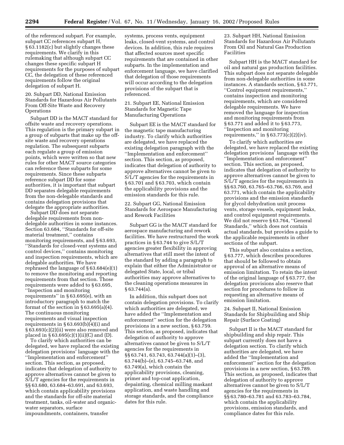of the referenced subpart. For example, subpart CC references subpart H, § 63.1182(c) but slightly changes these requirements. We clarify in this rulemaking that although subpart CC changes these specific subpart H requirements for the purposes of subpart CC, the delegation of these referenced requirements follow the original delegation of subpart H.

20. Subpart DD, National Emission Standards for Hazardous Air Pollutants From Off-Site Waste and Recovery **Operations** 

Subpart DD is the MACT standard for offsite waste and recovery operations. This regulation is the primary subpart in a group of subparts that make up the offsite waste and recovery operations regulation. The subsequent subparts each regulate a group of emission points, which were written so that new rules for other MACT source categories can reference these subparts for some requirements. Since these subparts reference subpart DD for some authorities, it is important that subpart DD separates delegable requirements from the non-delegable standards and contains delegation provisions that delegate the appropriate authorities.

Subpart DD does not separate delegable requirements from nondelegable authorities in some instances. Section 63.684, ''Standards for off-site material treatment,'' contains monitoring requirements, and § 63.693, ''Standards for closed-vent systems and control devices,'' contains monitoring and inspection requirements, which are delegable authorities. We have rephrased the language of § 63.684(e)(1) to remove the monitoring and reporting requirements from that section. Those requirements were added to § 63.695, ''Inspection and monitoring requirements'' in § 63.695(e), with an introductory paragraph to match the format of the section in  $\S 63.695(a)(4)$ . The continuous monitoring requirements and visual inspection requirements in § 63.693(b)(4)(i) and § 63.693(c)(2)(ii) were also removed and placed in  $\S 63.695(c)(1)(ii)(C)$  and (D).

To clarify which authorities can be delegated, we have replaced the existing delegation provisions' language with the ''Implementation and enforcement'' section. This section, as proposed, indicates that delegation of authority to approve alternatives cannot be given to S/L/T agencies for the requirements in §§ 63.680, 63.684–63.691, and 63.693, which contain applicability provisions and the standards for off-site material treatment, tanks, oil-water and organicwater separators, surface impoundments, containers, transfer

systems, process vents, equipment leaks, closed-vent systems, and control devices. In addition, this rule requires that affected sources meet specific requirements that are contained in other subparts. In the implementation and enforcement language, we have clarified that delegation of those requirements will occur according to the delegation provisions of the subpart that is referenced.

21. Subpart EE, National Emission Standards for Magnetic Tape Manufacturing Operations

Subpart EE is the MACT standard for the magnetic tape manufacturing industry. To clarify which authorities are delegated, we have replaced the existing delegation paragraph with the ''Implementation and enforcement'' section. This section, as proposed, indicates that delegation of authority to approve alternatives cannot be given to S/L/T agencies for the requirements in § 63.701 and § 63.703, which contain the applicability provisions and the emission standards for this rule.

22. Subpart GG, National Emission Standards for Aerospace Manufacturing and Rework Facilities

Subpart GG is the MACT standard for aerospace manufacturing and rework facilities. We have restructured the work practices in § 63.744 to give S/L/T agencies greater flexibility in approving alternatives that still meet the intent of the standard by adding a paragraph to explain that either the Administrator or delegated State, local, or tribal authorities may approve alternatives to the cleaning operations measures in § 63.744(a).

In addition, this subpart does not contain delegation provisions. To clarify which authorities are delegated, we have added the ''Implementation and enforcement'' section for the delegation provisions in a new section, § 63.759. This section, as proposed, indicates that delegation of authority to approve alternatives cannot be given to S/L/T agencies for the requirements in §§ 63.741, 63.743, 63.744(a)(1)–(3), 63.744(b)–(e), 63.745–63.748, and 63.749(a), which contain the applicability provisions, cleaning, primer and top-coat application, depainting, chemical milling maskant application, and waste handling and storage standards, and the compliance dates for this rule.

23. Subpart HH, National Emission Standards for Hazardous Air Pollutants From Oil and Natural Gas Production Facilities

Subpart HH is the MACT standard for oil and natural gas production facilities. This subpart does not separate delegable from non-delegable authorities in some instances. A standards section, § 63.771, ''Control equipment requirements,'' contains inspection and monitoring requirements, which are considered delegable requirements. We have removed the language for inspection and monitoring requirements from § 63.771 and added it to § 63.773, ''Inspection and monitoring requirements," in  $§ 63.773(c)(2)(iv)$ .

To clarify which authorities are delegated, we have replaced the existing delegation provisions' language with the ''Implementation and enforcement'' section. This section, as proposed, indicates that delegation of authority to approve alternatives cannot be given to S/L/T agencies for the requirements in §§ 63.760, 63.765–63.766, 63.769, and 63.771, which contain the applicability provisions and the emission standards for glycol dehydration unit process vents, storage vessels, equipment leaks, and control equipment requirements. We did not reserve § 63.764, ''General Standards,'' which does not contain actual standards, but provides a guide to the applicable requirements in other sections of the subpart.

This subpart also contains a section, § 63.777, which describes procedures that should be followed to obtain approval of an alternative means of emission limitation. To retain the intent of the original language of § 63.777, the delegation provisions also reserve that section for procedures to follow in requesting an alternative means of emission limitation.

24. Subpart II, National Emission Standards for Shipbuilding and Ship Repair (Surface Coating)

Subpart II is the MACT standard for shipbuilding and ship repair. This subpart currently does not have a delegation section. To clarify which authorities are delegated, we have added the ''Implementation and enforcement'' section for the delegation provisions in a new section, § 63.789. This section, as proposed, indicates that delegation of authority to approve alternatives cannot be given to S/L/T agencies for the requirements in §§ 63.780–63.781 and 63.783–63.784, which contain the applicability provisions, emission standards, and compliance dates for this rule.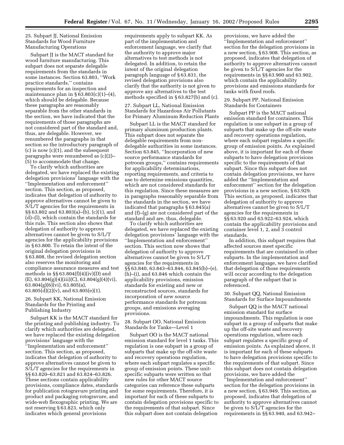25. Subpart JJ, National Emission Standards for Wood Furniture Manufacturing Operations

Subpart JJ is the MACT standard for wood furniture manufacturing. This subpart does not separate delegable requirements from the standards in some instances. Section 63.803, ''Work practice standards,'' contains requirements for an inspection and maintenance plan in  $\S 63.803(c)(1)–(4)$ , which should be delegable. Because these paragraphs are reasonably separable from the other standards in the section, we have indicated that the requirements of those paragraphs are not considered part of the standard and, thus, are delegable. However, we renumbered the paragraphs in that section so the introductory paragraph of (c) is now (c)(1), and the subsequent paragraphs were renumbered as (c)(2)– (5) to accommodate that change.

To clarify which authorities are delegated, we have replaced the existing delegation provisions' language with the ''Implementation and enforcement'' section. This section, as proposed, indicates that delegation of authority to approve alternatives cannot be given to S/L/T agencies for the requirements in §§ 63.802 and 63.803(a)–(b), (c)(1), and (d)–(l), which contain the standards for this rule. This section also shows that delegation of authority to approve alternatives cannot be given to S/L/T agencies for the applicability provisions in § 63.800. To retain the intent of the original delegation provisions in § 63.808, the revised delegation section also reserves the monitoring and compliance assurance measures and test methods in §§ 63.804(f)(4)(iv)(D) and  $(E)$ , 63.804 $(g)(4)(iii)(C)$ , 63.804 $(g)(4)(vi)$ , 63.804(g)(6)(vi), 63.805(a),  $63.805(d)(2)(v)$ , and  $63.805(e)(1)$ .

#### 26. Subpart KK, National Emission Standards for the Printing and Publishing Industry

Subpart KK is the MACT standard for the printing and publishing industry. To clarify which authorities are delegated, we have replaced the existing delegation provisions' language with the ''Implementation and enforcement'' section. This section, as proposed, indicates that delegation of authority to approve alternatives cannot be given to S/L/T agencies for the requirements in §§ 63.820–63.821 and 63.824–63.826. These sections contain applicability provisions, compliance dates, standards for publication rotogravure printing and product and packaging rotogravure, and wide-web flexographic printing. We are not reserving § 63.823, which only indicates which general provisions

requirements apply to subpart KK. As part of the implementation and enforcement language, we clarify that the authority to approve major alternatives to test methods is not delegated. In addition, to retain the intent of the original delegation paragraph language of § 63.831, the revised delegation provisions also clarify that the authority is not given to approve any alternatives to the test methods specified in § 63.827(b) and (c).

27. Subpart LL, National Emission Standards for Hazardous Air Pollutants for Primary Aluminum Reduction Plants

Subpart LL is the MACT standard for primary aluminum production plants. This subpart does not separate the delegable requirements from nondelegable authorities in some instances. Section 63.845, ''Incorporation of new source performance standards for potroom groups,'' contains requirements for applicability determinations, reporting requirements, and criteria to use to determine emissions quantities, which are not considered standards for this regulation. Since these measures are in paragraphs reasonably separable from the standards in the section, we have indicated that paragraphs § 63.845(a) and (f)–(g) are not considered part of the standard and are, thus, delegable.

To clarify which authorities are delegated, we have replaced the existing delegation provisions' language with the ''Implementation and enforcement'' section. This section now shows that delegation of authority to approve alternatives cannot be given to S/L/T agencies for the requirements in §§ 63.840, 63.843–63.844, 63.845(b)–(e), (h)–(i), and 63.846 which contain the applicability provisions, emission standards for existing and new or reconstructed sources, standards for incorporation of new source performance standards for potroom groups, and emissions averaging provisions.

28. Subpart OO, National Emission Standards for Tanks—Level 1

Subpart OO is the MACT national emission standard for level 1 tanks. This regulation is one subpart in a group of subparts that make up the off-site waste and recovery operations regulation, where each subpart regulates a specific group of emission points. These unitspecific subparts were written so that new rules for other MACT source categories can reference these subparts for some requirements. Therefore, it is important for each of these subparts to contain delegation provisions specific to the requirements of that subpart. Since this subpart does not contain delegation

provisions, we have added the ''Implementation and enforcement'' section for the delegation provisions in a new section, § 63.908. This section, as proposed, indicates that delegation of authority to approve alternatives cannot be given to S/L/T agencies for the requirements in §§ 63.900 and 63.902, which contain the applicability provisions and emissions standards for tanks with fixed roofs.

29. Subpart PP, National Emission Standards for Containers

Subpart PP is the MACT national emission standard for containers. This regulation is one subpart in a group of subparts that make up the off-site waste and recovery operations regulation, where each subpart regulates a specific group of emission points. As explained above, it is important for each of these subparts to have delegation provisions specific to the requirements of that subpart. Since this subpart does not contain delegation provisions, we have added the ''Implementation and enforcement'' section for the delegation provisions in a new section, § 63.929. This section, as proposed, indicates that delegation of authority to approve alternatives cannot be given to S/L/T agencies for the requirements in §§ 63.920 and 63.922–63.924, which contain the applicability provisions and container level 1, 2, and 3 control standards.

In addition, this subpart requires that affected sources meet specific requirements that are contained in other subparts. In the implementation and enforcement language, we have clarified that delegation of those requirements will occur according to the delegation paragraph of the subpart that is referenced.

30. Subpart QQ, National Emission Standards for Surface Impoundments

Subpart QQ is the MACT national emission standard for surface impoundments. This regulation is one subpart in a group of subparts that make up the off-site waste and recovery operations regulation, where each subpart regulates a specific group of emission points. As explained above, it is important for each of these subparts to have delegation provisions specific to the requirements of that subpart. Since this subpart does not contain delegation provisions, we have added the ''Implementation and enforcement'' section for the delegation provisions in a new section, § 63.949. This section, as proposed, indicates that delegation of authority to approve alternatives cannot be given to S/L/T agencies for the requirements in §§ 63.940, and 63.942–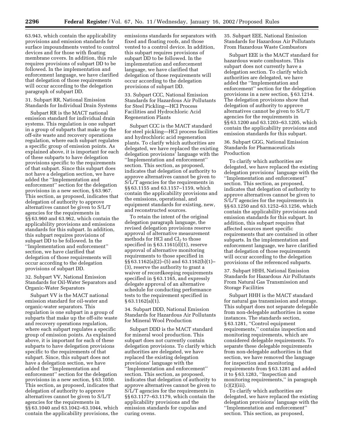63.943, which contain the applicability provisions and emission standards for surface impoundments vented to control devices and for those with floating membrane covers. In addition, this rule requires provisions of subpart DD to be followed. In the implementation and enforcement language, we have clarified that delegation of those requirements will occur according to the delegation paragraph of subpart DD.

#### 31. Subpart RR, National Emission Standards for Individual Drain Systems

Subpart RR is the MACT national emission standard for individual drain systems. This regulation is one subpart in a group of subparts that make up the off-site waste and recovery operations regulation, where each subpart regulates a specific group of emission points. As explained above, it is important for each of these subparts to have delegation provisions specific to the requirements of that subpart. Since this subpart does not have a delegation section, we have added the ''Implementation and enforcement'' section for the delegation provisions in a new section, § 63.967. This section, as proposed, indicates that delegation of authority to approve alternatives cannot be given to S/L/T agencies for the requirements in §§ 63.960 and 63.962, which contain the applicability provisions and emissions standards for this subpart. In addition, this subpart requires provisions of subpart DD to be followed. In the ''Implementation and enforcement'' section, we have clarified that delegation of those requirements will occur according to the delegation provisions of subpart DD.

32. Subpart VV, National Emission Standards for Oil-Water Separators and Organic-Water Separators

Subpart VV is the MACT national emission standard for oil-water and organic-water separators. This regulation is one subpart in a group of subparts that make up the off-site waste and recovery operations regulation, where each subpart regulates a specific group of emission points. As explained above, it is important for each of these subparts to have delegation provisions specific to the requirements of that subpart. Since, this subpart does not have a delegation section, we have added the ''Implementation and enforcement'' section for the delegation provisions in a new section, § 63.1050. This section, as proposed, indicates that delegation of authority to approve alternatives cannot be given to S/L/T agencies for the requirements in §§ 63.1040 and 63.1042–63.1044, which contain the applicability provisions, the

emissions standards for separators with fixed and floating roofs, and those vented to a control device. In addition, this subpart requires provisions of subpart DD to be followed. In the implementation and enforcement language, we have clarified that delegation of those requirements will occur according to the delegation provisions of subpart DD.

33. Subpart CCC, National Emission Standards for Hazardous Air Pollutants for Steel Pickling—HCl Process Facilities and Hydrochloric Acid Regeneration Plants

Subpart CCC is the MACT standard for steel pickling—HCl process facilities and hydrochloric acid regeneration plants. To clarify which authorities are delegated, we have replaced the existing delegation provisions' language with the ''Implementation and enforcement'' section. This section, as proposed, indicates that delegation of authority to approve alternatives cannot be given to S/L/T agencies for the requirements in §§ 63.1155 and 63.1157–1159, which contain the applicability provisions and the emissions, operational, and equipment standards for existing, new, and reconstructed sources.

To retain the intent of the original delegation paragraph language, the revised delegation provisions reserve approval of alternative measurement methods for HCl and  $Cl<sub>2</sub>$  to those specified in § 63.1161(d)(1), reserve approval of alternative monitoring requirements to those specified in §§ 63.1162(a)(2)–(5) and 63.1162(b)(1)– (3), reserve the authority to grant a waiver of recordkeeping requirements specified in § 63.1165, and expressly delegate approval of an alternative schedule for conducting performance tests to the requirement specified in § 63.1162(a)(1).

34. Subpart DDD, National Emission Standards for Hazardous Air Pollutants for Mineral Wool Production

Subpart DDD is the MACT standard for mineral wool production. This subpart does not currently contain delegation provisions. To clarify which authorities are delegated, we have replaced the existing delegation provisions' language with the ''Implementation and enforcement'' section. This section, as proposed, indicates that delegation of authority to approve alternatives cannot be given to S/L/T agencies for the requirements in §§ 63.1177–63.1179, which contain the applicability provisions and the emission standards for cupolas and curing ovens.

35. Subpart EEE, National Emission Standards for Hazardous Air Pollutants From Hazardous Waste Combustors

Subpart EEE is the MACT standard for hazardous waste combustors. This subpart does not currently have a delegation section. To clarify which authorities are delegated, we have added the ''Implementation and enforcement'' section for the delegation provisions in a new section, § 63.1214. The delegation provisions show that delegation of authority to approve alternatives cannot be given to S/L/T agencies for the requirements in §§ 63.1200 and 63.1203–63.1205, which contain the applicability provisions and emission standards for this subpart.

#### 36. Subpart GGG, National Emission Standards for Pharmaceuticals Production

To clarify which authorities are delegated, we have replaced the existing delegation provisions' language with the ''Implementation and enforcement'' section. This section, as proposed, indicates that delegation of authority to approve alternatives cannot be given to S/L/T agencies for the requirements in §§ 63.1250 and 63.1252–63.1256, which contain the applicability provisions and emission standards for this subpart. In addition, this subpart requires that affected sources meet specific requirements that are contained in other subparts. In the implementation and enforcement language, we have clarified that delegation of those requirements will occur according to the delegation provisions of the referenced subparts.

37. Subpart HHH, National Emission Standards for Hazardous Air Pollutants From Natural Gas Transmission and Storage Facilities

Subpart HHH is the MACT standard for natural gas transmission and storage. This subpart does not separate delegable from non-delegable authorities in some instances. The standards section, § 63.1281, "Control equipment requirements,'' contains inspection and monitoring requirements, which are considered delegable requirements. To separate these delegable requirements from non-delegable authorities in that section, we have removed the language for inspection and monitoring requirements from § 63.1281 and added it to § 63.1283, ''Inspection and monitoring requirements,'' in paragraph  $(c)(2)(iii)$ .

To clarify which authorities are delegated, we have replaced the existing delegation provisions' language with the ''Implementation and enforcement'' section. This section, as proposed,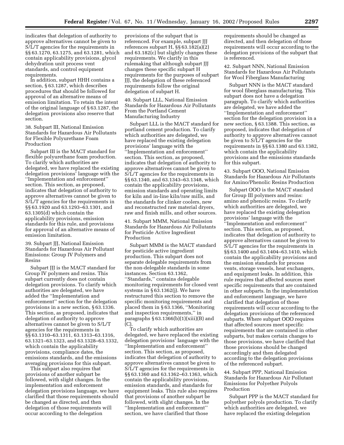indicates that delegation of authority to approve alternatives cannot be given to S/L/T agencies for the requirements in §§ 63.1270, 63.1275, and 63.1281, which contain applicability provisions, glycol dehydration unit process vent standards, and control equipment requirements.

In addition, subpart HHH contains a section, § 63.1287, which describes procedures that should be followed for approval of an alternative means of emission limitation. To retain the intent of the original language of § 63.1287, the delegation provisions also reserve that section.

38. Subpart III, National Emission Standards for Hazardous Air Pollutants for Flexible Polyurethane Foam Production

Subpart III is the MACT standard for flexible polyurethane foam production. To clarify which authorities are delegated, we have replaced the existing delegation provisions' language with the ''Implementation and enforcement'' section. This section, as proposed, indicates that delegation of authority to approve alternatives cannot be given to S/L/T agencies for the requirements in §§ 63.1920 and 63.1293–63.1301, and 63.1305(d) which contain the applicability provisions, emission standards for this rule, and provisions for approval of an alternative means of emission limitation.

39. Subpart JJJ, National Emission Standards for Hazardous Air Pollutant Emissions: Group IV Polymers and Resins

Subpart JJJ is the MACT standard for Group IV polymers and resins. This subpart currently does not contain delegation provisions. To clarify which authorities are delegated, we have added the ''Implementation and enforcement'' section for the delegation provisions in a new section, § 63.1336. This section, as proposed, indicates that delegation of authority to approve alternatives cannot be given to S/L/T agencies for the requirements in §§ 63.1310–63.1311, 63.1313–63.1316, 63.1321–63.1323, and 63.1328–63.1332, which contain the applicability provisions, compliance dates, the emissions standards, and the emissions averaging provisions for this subpart.

This subpart also requires that provisions of another subpart be followed, with slight changes. In the implementation and enforcement delegation provisions language, we have clarified that those requirements should be changed as directed, and then delegation of those requirements will occur according to the delegation

provisions of the subpart that is referenced. For example, subpart JJJ references subpart H, §§ 63.182(a)(2) and 63.182(c) but slightly changes these requirements. We clarify in this rulemaking that although subpart JJJ changes these specific subpart H requirements for the purposes of subpart JJJ, the delegation of these referenced requirements follow the original delegation of subpart H.

40. Subpart LLL, National Emission Standards for Hazardous Air Pollutants From the Portland Cement Manufacturing Industry

Subpart LLL is the MACT standard for portland cement production. To clarify which authorities are delegated, we have replaced the existing delegation provisions' language with the ''Implementation and enforcement'' section. This section, as proposed, indicates that delegation of authority to approve alternatives cannot be given to S/L/T agencies for the requirements in §§ 63.1340, and 63.1343–63.1348, which contain the applicability provisions, emission standards and operating limits for kiln and in-line kiln/raw mills, and the standards for clinker coolers, new and reconstructed raw material dryers, raw and finish mills, and other sources.

41. Subpart MMM, National Emission Standards for Hazardous Air Pollutants for Pesticide Active Ingredient Production

Subpart MMM is the MACT standard for pesticide active ingredient production. This subpart does not separate delegable requirements from the non-delegable standards in some instances. Section 63.1362, ''Standards,'' contains delegable monitoring requirements for closed vent systems in § 63.1362(j). We have restructured this section to remove the specific monitoring requirements and placed them in § 63.1366, ''Monitoring and inspection requirements,'' in paragraphs  $\S 63.1366(b)(1)(xiii)(B)$  and (C).

To clarify which authorities are delegated, we have replaced the existing delegation provisions' language with the ''Implementation and enforcement'' section. This section, as proposed, indicates that delegation of authority to approve alternatives cannot be given to S/L/T agencies for the requirements in §§ 63.1360 and 63.1362–63.1363, which contain the applicability provisions, emission standards, and standards for equipment leaks. This rule also requires that provisions of another subpart be followed, with slight changes. In the ''Implementation and enforcement'' section, we have clarified that those

requirements should be changed as directed, and then delegation of those requirements will occur according to the delegation provisions of the subpart that is referenced.

42. Subpart NNN, National Emission Standards for Hazardous Air Pollutants for Wool Fiberglass Manufacturing

Subpart NNN is the MACT standard for wool fiberglass manufacturing. This subpart does not have a delegation paragraph. To clarify which authorities are delegated, we have added the ''Implementation and enforcement'' section for the delegation provision in a new section, § 63.1388. This section, as proposed, indicates that delegation of authority to approve alternatives cannot be given to S/L/T agencies for the requirements in §§ 63.1380 and 63.1382, which contain the applicability provisions and the emissions standards for this subpart.

43. Subpart OOO, National Emission Standards for Hazardous Air Pollutants for Amino/Phenolic Resins Production

Subpart OOO is the MACT standard for Group III polymers and resins: amino and phenolic resins. To clarify which authorities are delegated, we have replaced the existing delegation provisions' language with the ''Implementation and enforcement'' section. This section, as proposed, indicates that delegation of authority to approve alternatives cannot be given to S/L/T agencies for the requirements in §§ 63.1400 and 63.1404–63.1410, which contain the applicability provisions and the emission standards for process vents, storage vessels, heat exchangers, and equipment leaks. In addition, this rule requires that affected sources meet specific requirements that are contained in other subparts. In the implementation and enforcement language, we have clarified that delegation of those requirements will occur according to the delegation provisions of the referenced subparts. Where subpart OOO requires that affected sources meet specific requirements that are contained in other subparts, but makes certain changes to those provisions, we have clarified that those provisions should be changed accordingly and then delegated according to the delegation provisions of the referenced subpart.

44. Subpart PPP, National Emission Standards for Hazardous Air Pollutant Emissions for Polyether Polyols Production

Subpart PPP is the MACT standard for polyether polyols production. To clarify which authorities are delegated, we have replaced the existing delegation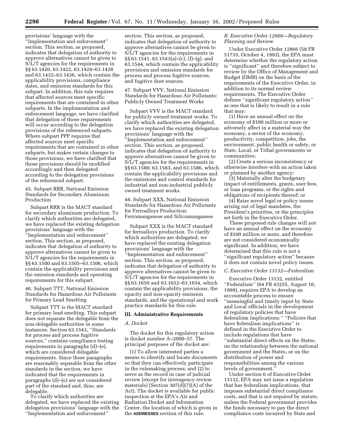provisions' language with the ''Implementation and enforcement'' section. This section, as proposed, indicates that delegation of authority to approve alternatives cannot be given to S/L/T agencies for the requirements in §§ 63.1420, 63.1422, 63.1424–63.1428 and 63.1432–63.1436, which contain the applicability provisions, compliance dates, and emission standards for this subpart. In addition, this rule requires that affected sources meet specific requirements that are contained in other subparts. In the implementation and enforcement language, we have clarified that delegation of those requirements will occur according to the delegation provisions of the referenced subparts. Where subpart PPP requires that affected sources meet specific requirements that are contained in other subparts, but makes certain changes to those provisions, we have clarified that those provisions should be modified accordingly and then delegated according to the delegation provisions of the referenced subpart.

45. Subpart RRR, National Emission Standards for Secondary Aluminum Production

Subpart RRR is the MACT standard for secondary aluminum production. To clarify which authorities are delegated, we have replaced the existing delegation provisions' language with the ''Implementation and enforcement'' section. This section, as proposed, indicates that delegation of authority to approve alternatives cannot be given to S/L/T agencies for the requirements in §§ 63.1500 and 63.1505–63.1506, which contain the applicability provisions and the emission standards and operating requirements for this subpart.

46. Subpart TTT, National Emission Standards for Hazardous Air Pollutants for Primary Lead Smelting

Subpart TTT is the MACT standard for primary lead smelting. This subpart does not separate the delegable from the non-delegable authorities in some instances. Section 63.1543, ''Standards for process and process fugitive sources,'' contains compliance testing requirements in paragraphs (d)–(e), which are considered delegable requirements. Since these paragraphs are reasonably separable from the other standards in the section, we have indicated that the requirements in paragraphs (d)–(e) are not considered part of the standard and, thus, are delegable.

To clarify which authorities are delegated, we have replaced the existing delegation provisions' language with the ''Implementation and enforcement''

section. This section, as proposed, indicates that delegation of authority to approve alternatives cannot be given to S/L/T agencies for the requirements in §§ 63.1541, 63.1543(a)–(c), (f)–(g), and 63.1544, which contain the applicability provisions and emission standards for process and process fugitive sources, and fugitive dust sources.

47. Subpart VVV, National Emission Standards for Hazardous Air Pollutants: Publicly Owned Treatment Works

Subpart VVV is the MACT standard for publicly owned treatment works. To clarify which authorities are delegated, we have replaced the existing delegation provisions' language with the ''Implementation and enforcement'' section. This section, as proposed, indicates that delegation of authority to approve alternatives cannot be given to S/L/T agencies for the requirements in §§ 63.1580, 63.1583, and 63.1586, which contain the applicability provisions and the emissions and control standards for industrial and non-industrial publicly owned treatment works.

48. Subpart XXX, National Emission Standards for Hazardous Air Pollutants for Ferroalloys Production: Ferromanganese and Silicomanganese

Subpart XXX is the MACT standard for ferroalloys production. To clarify which authorities are delegated, we have replaced the existing delegation provisions' language with the ''Implementation and enforcement'' section. This section, as proposed, indicates that delegation of authority to approve alternatives cannot be given to S/L/T agencies for the requirements in §§ 63.1650 and 63.1652–63.1654, which contain the applicability provisions, the opacity and non-opacity emission standards, and the operational and work practice standards for this rule.

#### **III. Administrative Requirements**

#### *A. Docket*

The docket for this regulatory action is docket number A–2000–57. The principal purposes of the docket are:

(1) To allow interested parties a means to identify and locate documents so that they can effectively participate in the rulemaking process; and (2) to serve as the record in case of judicial review (except for interagency review materials) (Section  $307(d)(7)(A)$  of the Act). The docket is available for public inspection at the EPA's Air and Radiation Docket and Information Center, the location of which is given in the **ADDRESSES** section of this rule.

#### *B. Executive Order 12866—Regulatory Planning and Review*

Under Executive Order 12866 (58 FR 51735, October 4, 1993), the EPA must determine whether the regulatory action is ''significant'' and therefore subject to review by the Office of Management and Budget (OMB) on the basis of the requirements of the Executive Order, in addition to its normal review requirements. The Executive Order defines ''significant regulatory action'' as one that is likely to result in a rule that may:

(1) Have an annual effect on the economy of \$100 million or more or adversely affect in a material way the economy, a sector of the economy, productivity, competition, jobs, the environment, public health or safety, or State, Local, or Tribal governments or communities;

(2) Create a serious inconsistency or otherwise interfere with an action taken or planned by another agency;

(3) Materially alter the budgetary impact of entitlements, grants, user fees, or loan programs, or the rights and obligations of recipients thereof; or

(4) Raise novel legal or policy issues arising out of legal mandates, the President's priorities, or the principles set forth in the Executive Order.

These proposed rule changes will not have an annual effect on the economy of \$100 million or more, and therefore are not considered economically significant. In addition, we have determined that this rule is not a ''significant regulatory action'' because it does not contain novel policy issues.

#### *C. Executive Order 13132—Federalism*

Executive Order 13132, entitled ''Federalism'' (64 FR 43255, August 10, 1999), requires EPA to develop an accountable process to ensure ''meaningful and timely input by State and Local officials in the development of regulatory policies that have federalism implications.'' ''Policies that have federalism implications'' is defined in the Executive Order to include regulations that have ''substantial direct effects on the States, on the relationship between the national government and the States, or on the distribution of power and responsibilities among the various levels of government.''

Under section 6 of Executive Order 13132, EPA may not issue a regulation that has federalism implications, that imposes substantial direct compliance costs, and that is not required by statute, unless the Federal government provides the funds necessary to pay the direct compliance costs incurred by State and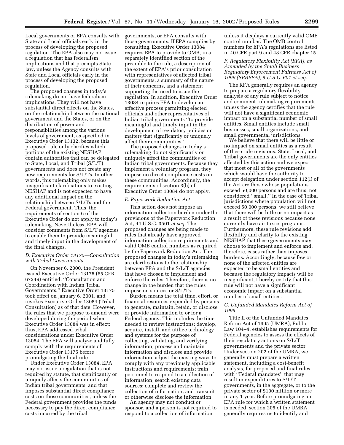Local governments or EPA consults with State and Local officials early in the process of developing the proposed regulation. The EPA also may not issue a regulation that has federalism implications and that preempts State law, unless the Agency consults with State and Local officials early in the process of developing the proposed regulation.

The proposed changes in today's rulemaking do not have federalism implications. They will not have substantial direct effects on the States, on the relationship between the national government and the States, or on the distribution of power and responsibilities among the various levels of government, as specified in Executive Order 13132, because this proposed rule only clarifies which portions of the existing NESHAP contain authorities that can be delegated to State, Local, and Tribal (S/L/T) governments and does not create any new requirements for S/L/Ts. In other words, this rulemaking only makes insignificant clarifications to existing NESHAP and is not expected to have any additional impact on the relationship between S/L/Ts and the Federal government. Thus, the requirements of section 6 of the Executive Order do not apply to today's rulemaking. Nevertheless, EPA will consider comments from S/L/T agencies to enable them to provide meaningful and timely input in the development of the final changes.

#### *D. Executive Order 13175—Consultation with Tribal Governments*

On November 6, 2000, the President issued Executive Order 13175 (65 CFR 67249) entitled, ''Consultation and Coordination with Indian Tribal Governments.'' Executive Order 13175 took effect on January 6, 2001, and revokes Executive Order 13084 (Tribal Consultation) as of that date. However, the rules that we propose to amend were developed during the period when Executive Order 13084 was in effect; thus, EPA addressed tribal considerations under Executive Order 13084. The EPA will analyze and fully comply with the requirements of Executive Order 13175 before promulgating the final rule.

Under Executive Order 13084, EPA may not issue a regulation that is not required by statute, that significantly or uniquely affects the communities of Indian tribal governments, and that imposes substantial direct compliance costs on those communities, unless the Federal government provides the funds necessary to pay the direct compliance costs incurred by the tribal

governments, or EPA consults with those governments. If EPA complies by consulting, Executive Order 13084 requires EPA to provide to OMB, in a separately identified section of the preamble to the rule, a description of the extent of EPA's prior consultation with representatives of affected tribal governments, a summary of the nature of their concerns, and a statement supporting the need to issue the regulation. In addition, Executive Order 13084 requires EPA to develop an effective process permitting elected officials and other representatives of Indian tribal governments ''to provide meaningful and timely input in the development of regulatory policies on matters that significantly or uniquely affect their communities.''

The proposed changes in today's rulemaking do not significantly or uniquely affect the communities of Indian tribal governments. Because they implement a voluntary program, they impose no direct compliance costs on these communities. Accordingly, the requirements of section 3(b) of Executive Order 13084 do not apply.

#### *E. Paperwork Reduction Act*

This action does not impose an information collection burden under the provisions of the Paperwork Reduction Act, 44 U.S.C. 3501 *et seq.* The proposed changes are being made to rules that already have approved information collection requirements and valid OMB control numbers as required by the Paperwork Reduction Act. The proposed changes in today's rulemaking are clarifications to the relationship between EPA and the S/L/T agencies that have chosen to implement and enforce the rules. Therefore, there is no change in the burden that the rules impose on sources or S/L/Ts.

Burden means the total time, effort, or financial resources expended by persons to generate, maintain, retain, or disclose or provide information to or for a Federal agency. This includes the time needed to review instructions; develop, acquire, install, and utilize technology and systems for the purpose of collecting, validating, and verifying information; process and maintain information and disclose and provide information; adjust the existing ways to comply with any previously applicable instructions and requirements; train personnel to respond to a collection of information; search existing data sources; complete and review the collection of information; and transmit or otherwise disclose the information.

An agency may not conduct or sponsor, and a person is not required to respond to a collection of information

unless it displays a currently valid OMB control number. The OMB control numbers for EPA's regulations are listed in 40 CFR part 9 and 48 CFR chapter 15.

#### *F. Regulatory Flexibility Act (RFA), as Amended by the Small Business Regulatory Enforcement Fairness Act of 1996 (SBREFA), 5 U.S.C. 601 et seq.*

The RFA generally requires an agency to prepare a regulatory flexibility analysis of any rule subject to notice and comment rulemaking requirements unless the agency certifies that the rule will not have a significant economic impact on a substantial number of small entities. Small entities include small businesses, small organizations, and small governmental jurisdictions.

We believe that there will be little or no impact on small entities as a result of these rule revisions. State, Local, and Tribal governments are the only entities affected by this action and we expect that most or all of the governments which would have the authority to accept delegation under section 112(l) of the Act are those whose populations exceed 50,000 persons and are thus, not considered ''small.'' In the case of Tribal jurisdictions where population will not exceed 50,000 persons, we still believe that there will be little or no impact as a result of these revisions because none currently have air toxics programs. Furthermore, these rule revisions add flexibility and clarity to the existing NESHAP that these governments may choose to implement and enforce and, therefore, eases rather than imposes burdens. Accordingly, because few or none of the affected entities are expected to be small entities and because the regulatory impacts will be insignificant, I hereby certify that this rule will not have a significant economic impact on a substantial number of small entities.

#### *G. Unfunded Mandates Reform Act of 1995*

Title II of the Unfunded Mandates Reform Act of 1995 (UMRA), Public Law 104–4, establishes requirements for Federal agencies to assess the effects of their regulatory actions on S/L/T governments and the private sector. Under section 202 of the UMRA, we generally must prepare a written statement, including a cost-benefit analysis, for proposed and final rules with ''Federal mandates'' that may result in expenditures to S/L/T governments, in the aggregate, or to the private sector of \$100 million or more in any 1 year. Before promulgating an EPA rule for which a written statement is needed, section 205 of the UMRA generally requires us to identify and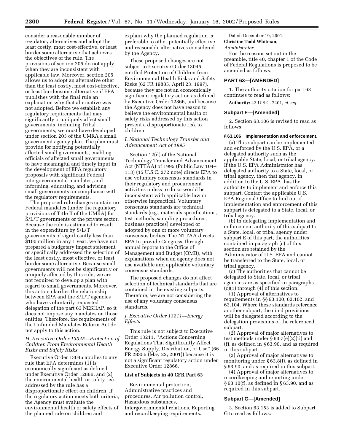consider a reasonable number of regulatory alternatives and adopt the least costly, most cost-effective, or least burdensome alternative that achieves the objectives of the rule. The provisions of section 205 do not apply when they are inconsistent with applicable law. Moreover, section 205 allows us to adopt an alternative other than the least costly, most cost-effective, or least burdensome alternative if EPA publishes with the final rule an explanation why that alternative was not adopted. Before we establish any regulatory requirements that may significantly or uniquely affect small governments, including Tribal governments, we must have developed under section 203 of the UMRA a small government agency plan. The plan must provide for notifying potentially affected small governments, enabling officials of affected small governments to have meaningful and timely input in the development of EPA regulatory proposals with significant Federal intergovernmental mandates, and informing, educating, and advising small governments on compliance with the regulatory requirements.

The proposed rule changes contain no Federal mandates (under the regulatory provisions of Title II of the UMRA) for S/L/T governments or the private sector. Because the rule is estimated to result in the expenditure by S/L/T governments of significantly less than \$100 million in any 1 year, we have not prepared a budgetary impact statement or specifically addressed the selection of the least costly, most effective, or least burdensome alternative. Because small governments will not be significantly or uniquely affected by this rule, we are not required to develop a plan with regard to small governments. Moreover, this action clarifies the relationship between EPA and the S/L/T agencies who have voluntarily requested delegation of the part 63 NESHAP, so it does not impose any mandates on those entities. Therefore, the requirements of the Unfunded Mandates Reform Act do not apply to this action.

#### *H. Executive Order 13045—Protection of Children From Environmental Health Risks and Safety Risks*

Executive Order 13045 applies to any rule that EPA determines (1) is economically significant as defined under Executive Order 12866, and (2) the environmental health or safety risk addressed by the rule has a disproportionate effect on children. If the regulatory action meets both criteria, the Agency must evaluate the environmental health or safety effects of the planned rule on children and

explain why the planned regulation is preferable to other potentially effective and reasonable alternatives considered by the Agency.

These proposed changes are not subject to Executive Order 13045, entitled Protection of Children from Environmental Health Risks and Safety Risks (62 FR 19885, April 23, 1997), because they are not an economically significant regulatory action as defined by Executive Order 12866, and because the Agency does not have reason to believe the environmental health or safety risks addressed by this action present a disproportionate risk to children.

#### *I. National Technology Transfer and Advancement Act of 1995*

Section 12(d) of the National Technology Transfer and Advancement Act (NTTAA) of 1995 (Public Law 104– 113) (15 U.S.C. 272 note) directs EPA to use voluntary consensus standards in their regulatory and procurement activities unless to do so would be inconsistent with applicable law or otherwise impractical. Voluntary consensus standards are technical standards (e.g., materials specifications, test methods, sampling procedures, business practices) developed or adopted by one or more voluntary consensus bodies. The NTTAA directs EPA to provide Congress, through annual reports to the Office of Management and Budget (OMB), with explanations when an agency does not use available and applicable voluntary consensus standards.

The proposed changes do not affect selection of technical standards that are contained in the existing subparts. Therefore, we are not considering the use of any voluntary consensus standards.

#### *J. Executive Order 13211—Energy Effects*

This rule is not subject to Executive Order 13211, ''Actions Concerning Regulations That Significantly Affect Energy Supply, Distribution, or Use'' (66 FR 28355 (May 22, 2001)) because it is not a significant regulatory action under Executive Order 12866.

#### **List of Subjects in 40 CFR Part 63**

Environmental protection, Administrative practices and procedures, Air pollution control, Hazardous substances, Intergovernmental relations, Reporting and recordkeeping requirements.

### Dated: December 19, 2001.

## **Christine Todd Whitman,**

#### *Administrator.*

For the reasons set out in the preamble, title 40, chapter 1 of the Code of Federal Regulations is proposed to be amended as follows:

#### **PART 63—[AMENDED]**

1. The authority citation for part 63 continues to read as follows:

**Authority:** 42 U.S.C. 7401, *et seq.*

#### **Subpart F—[Amended]**

2. Section 63.106 is revised to read as follows:

#### **§ 63.106 Implementation and enforcement.**

(a) This subpart can be implemented and enforced by the U.S. EPA, or a delegated authority such as the applicable State, local, or tribal agency. If the U.S. EPA Administrator has delegated authority to a State, local, or tribal agency, then that agency, in addition to the U.S. EPA, has the authority to implement and enforce this subpart. Contact the applicable U.S. EPA Regional Office to find out if implementation and enforcement of this subpart is delegated to a State, local, or tribal agency.

(b) In delegating implementation and enforcement authority of this subpart to a State, local, or tribal agency under subpart E of this part, the authorities contained in paragraph (c) of this section are retained by the Administrator of U.S. EPA and cannot be transferred to the State, local, or tribal agency.

(c) The authorities that cannot be delegated to State, local, or tribal agencies are as specified in paragraphs  $(c)(1)$  through  $(4)$  of this section.

(1) Approval of alternatives to requirements in §§ 63.100, 63.102, and 63.104. Where these standards reference another subpart, the cited provisions will be delegated according to the delegation provisions of the referenced subpart.

(2) Approval of major alternatives to test methods under § 63.7(e)(2)(ii) and (f), as defined in § 63.90, and as required in this subpart.

(3) Approval of major alternatives to monitoring under § 63.8(f), as defined in § 63.90, and as required in this subpart.

(4) Approval of major alternatives to recordkeeping and reporting under § 63.10(f), as defined in § 63.90, and as required in this subpart.

#### **Subpart G—[Amended]**

3. Section 63.153 is added to Subpart G to read as follows: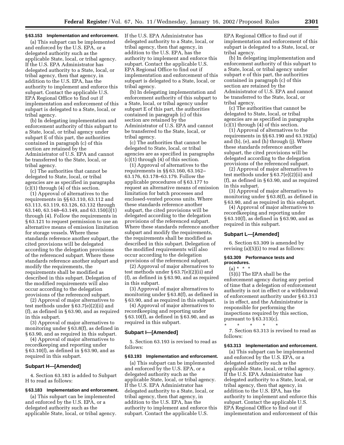#### **§ 63.153 Implementation and enforcement.**

(a) This subpart can be implemented and enforced by the U.S. EPA, or a delegated authority such as the applicable State, local, or tribal agency. If the U.S. EPA Administrator has delegated authority to a State, local, or tribal agency, then that agency, in addition to the U.S. EPA, has the authority to implement and enforce this subpart. Contact the applicable U.S. EPA Regional Office to find out if implementation and enforcement of this subpart is delegated to a State, local, or tribal agency.

(b) In delegating implementation and enforcement authority of this subpart to a State, local, or tribal agency under subpart E of this part, the authorities contained in paragraph (c) of this section are retained by the Administrator of U.S. EPA and cannot be transferred to the State, local, or tribal agency.

(c) The authorities that cannot be delegated to State, local, or tribal agencies are as specified in paragraphs (c)(1) through (4) of this section.

(1) Approval of alternatives to the requirements in §§ 63.110, 63.112 and 63.113, 63.119, 63.126, 63.132 through 63.140, 63.148–63.149, and 63.150(i)(1) through (4). Follow the requirements in § 63.121 to request permission to use an alternative means of emission limitation for storage vessels. Where these standards reference another subpart, the cited provisions will be delegated according to the delegation provisions of the referenced subpart. Where these standards reference another subpart and modify the requirements, the requirements shall be modified as described in this subpart. Delegation of the modified requirements will also occur according to the delegation provisions of the referenced subpart.

(2) Approval of major alternatives to test methods under § 63.7(e)(2)(ii) and (f), as defined in § 63.90, and as required in this subpart.

(3) Approval of major alternatives to monitoring under § 63.8(f), as defined in § 63.90, and as required in this subpart.

(4) Approval of major alternatives to recordkeeping and reporting under § 63.10(f), as defined in § 63.90, and as required in this subpart.

#### **Subpart H—[Amended]**

4. Section 63.183 is added to Subpart H to read as follows:

#### **§ 63.183 Implementation and enforcement.**

(a) This subpart can be implemented and enforced by the U.S. EPA, or a delegated authority such as the applicable State, local, or tribal agency. If the U.S. EPA Administrator has delegated authority to a State, local, or tribal agency, then that agency, in addition to the U.S. EPA, has the authority to implement and enforce this subpart. Contact the applicable U.S. EPA Regional Office to find out if implementation and enforcement of this subpart is delegated to a State, local, or tribal agency.

(b) In delegating implementation and enforcement authority of this subpart to a State, local, or tribal agency under subpart E of this part, the authorities contained in paragraph (c) of this section are retained by the Administrator of U.S. EPA and cannot be transferred to the State, local, or tribal agency.

(c) The authorities that cannot be delegated to State, local, or tribal agencies are as specified in paragraphs (c)(1) through (4) of this section.

(1) Approval of alternatives to the requirements in §§ 63.160, 63.162– 63.176, 63.178–63.179. Follow the applicable procedures of § 63.177 to request an alternative means of emission limitation for batch processes and enclosed-vented process units. Where these standards reference another subpart, the cited provisions will be delegated according to the delegation provisions of the referenced subpart. Where these standards reference another subpart and modify the requirements, the requirements shall be modified as described in this subpart. Delegation of the modified requirements will also occur according to the delegation provisions of the referenced subpart.

(2) Approval of major alternatives to test methods under § 63.7(e)(2)(ii) and (f), as defined in § 63.90, and as required in this subpart.

(3) Approval of major alternatives to monitoring under § 63.8(f), as defined in § 63.90, and as required in this subpart.

(4) Approval of major alternatives to recordkeeping and reporting under § 63.10(f), as defined in § 63.90, and as required in this subpart.

#### **Subpart I—[Amended]**

5. Section 63.193 is revised to read as follows:

#### **§ 63.193 Implementation and enforcement.**

(a) This subpart can be implemented and enforced by the U.S. EPA, or a delegated authority such as the applicable State, local, or tribal agency. If the U.S. EPA Administrator has delegated authority to a State, local, or tribal agency, then that agency, in addition to the U.S. EPA, has the authority to implement and enforce this subpart. Contact the applicable U.S.

EPA Regional Office to find out if implementation and enforcement of this subpart is delegated to a State, local, or tribal agency.

(b) In delegating implementation and enforcement authority of this subpart to a State, local, or tribal agency under subpart e of this part, the authorities contained in paragraph (c) of this section are retained by the Administrator of U.S. EPA and cannot be transferred to the State, local, or tribal agency.

(c) The authorities that cannot be delegated to State, local, or tribal agencies are as specified in paragraphs (c)(1) through (4) of this section.

(1) Approval of alternatives to the requirements in §§ 63.190 and 63.192(a) and (b), (e), and (h) through (j). Where these standards reference another subpart, the cited provisions will be delegated according to the delegation provisions of the referenced subpart.

(2) Approval of major alternatives to test methods under § 63.7(e)(2)(ii) and (f), as defined in § 63.90, and as required in this subpart.

(3) Approval of major alternatives to monitoring under § 63.8(f), as defined in § 63.90, and as required in this subpart.

(4) Approval of major alternatives to recordkeeping and reporting under § 63.10(f), as defined in § 63.90, and as required in this subpart.

#### **Subpart L—[Amended]**

6. Section 63.309 is amended by revising (a)(5)(i) to read as follows:

#### **§ 63.309 Performance tests and procedures.**

## $(a) * * * *$

(5)(i) The EPA shall be the enforcement agency during any period of time that a delegation of enforcement authority is not in effect or a withdrawal of enforcement authority under § 63.313 is in effect, and the Administrator is responsible for performing the inspections required by this section, pursuant to  $\S 63.313(c)$ .

\* \* \* \* \*

7. Section 63.313 is revised to read as follows:

#### **§ 63.313 Implementation and enforcement.**

(a) This subpart can be implemented and enforced by the U.S. EPA, or a delegated authority such as the applicable State, local, or tribal agency. If the U.S. EPA Administrator has delegated authority to a State, local, or tribal agency, then that agency, in addition to the U.S. EPA, has the authority to implement and enforce this subpart. Contact the applicable U.S. EPA Regional Office to find out if implementation and enforcement of this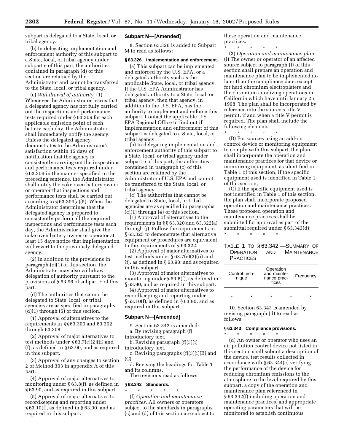subpart is delegated to a State, local, or tribal agency.

(b) In delegating implementation and enforcement authority of this subpart to a State, local, or tribal agency under subpart e of this part, the authorities contained in paragraph (d) of this section are retained by the Administrator and cannot be transferred to the State, local, or tribal agency.

(c) *Withdrawal of authority.* (1) Whenever the Administrator learns that a delegated agency has not fully carried out the inspections and performance tests required under § 63.309 for each applicable emission point of each battery each day, the Administrator shall immediately notify the agency. Unless the delegated agency demonstrates to the Administrator's satisfaction within 15 days of notification that the agency is consistently carrying out the inspections and performance tests required under § 63.309 in the manner specified in the preceding sentence, the Administrator shall notify the coke oven battery owner or operator that inspections and performance tests shall be carried out according to § 63.309(a)(5). When the Administrator determines that the delegated agency is prepared to consistently perform all the required inspections and performance tests each day, the Administrator shall give the coke oven battery owner or operator at least 15 days notice that implementation will revert to the previously delegated agency.

(2) In addition to the provisions in paragraph (c)(1) of this section, the Administrator may also withdraw delegation of authority pursuant to the provisions of § 63.96 of subpart E of this part.

(d) The authorities that cannot be delegated to State, local, or tribal agencies are as specified in paragraphs (d)(1) through (5) of this section.

(1) Approval of alternatives to the requirements in §§ 63.300 and 63.302 through 63.308.

(2) Approval of major alternatives to test methods under § 63.7(e)(2)(ii) and (f), as defined in § 63.90, and as required in this subpart.

(3) Approval of any changes to section 2 of Method 303 in appendix A of this part.

(4) Approval of major alternatives to monitoring under § 63.8(f), as defined in § 63.90, and as required in this subpart.

(5) Approval of major alternatives to recordkeeping and reporting under § 63.10(f), as defined in § 63.90, and as required in this subpart.

#### **Subpart M—[Amended]**

8. Section 63.326 is added to Subpart M to read as follows:

#### **§ 63.326 Implementation and enforcement.**

(a) This subpart can be implemented and enforced by the U.S. EPA, or a delegated authority such as the applicable State, local, or tribal agency. If the U.S. EPA Administrator has delegated authority to a State, local, or tribal agency, then that agency, in addition to the U.S. EPA, has the authority to implement and enforce this subpart. Contact the applicable U.S. EPA Regional Office to find out if implementation and enforcement of this subpart is delegated to a State, local, or tribal agency.

(b) In delegating implementation and enforcement authority of this subpart to a State, local, or tribal agency under subpart e of this part, the authorities contained in paragraph (c) of this section are retained by the Administrator of U.S. EPA and cannot be transferred to the State, local, or tribal agency.

(c) The authorities that cannot be delegated to State, local, or tribal agencies are as specified in paragraphs  $(c)(1)$  through  $(4)$  of this section.

(1) Approval of alternatives to the requirements in §§ 63.320 and 63.322(a) through (j). Follow the requirements in § 63.325 to demonstrate that alternative equipment or procedures are equivalent to the requirements of § 63.322.

(2) Approval of major alternatives to test methods under § 63.7(e)(2)(ii) and (f), as defined in § 63.90, and as required in this subpart.

(3) Approval of major alternatives to monitoring under § 63.8(f), as defined in § 63.90, and as required in this subpart.

(4) Approval of major alternatives to recordkeeping and reporting under § 63.10(f), as defined in § 63.90, and as required in this subpart.

#### **Subpart N—[Amended]**

9. Section 63.342 is amended: a. By revising paragraph (f)

introductory text. b. Revising paragraph (f)(3)(i)

introductory text.

c. Revising paragraphs (f)(3)(i)(B) and (C).

d. Revising the headings for Table 1 and its columns.

The revisions read as follows:

#### **§ 63.342 Standards.** \* \* \* \* \*

(f) *Operation and maintenance practices.* All owners or operators subject to the standards in paragraphs (c) and (d) of this section are subject to these operation and maintenance practices.

\* \* \* \* \* (3) *Operation and maintenance plan.* (i) The owner or operator of an affected source subject to paragraph (f) of this section shall prepare an operation and maintenance plan to be implemented no later than the compliance date, except for hard chromium electroplaters and the chromium anodizing operations in California which have until January 25, 1998. The plan shall be incorporated by reference into the source's title V permit, if and when a title V permit is required. The plan shall include the following elements:<br> $\begin{array}{ccc}\n\star & \star & \star \\
\star & \star & \star\n\end{array}$ 

\* \* \* \* \*

(B) For sources using an add-on control device or monitoring equipment to comply with this subpart, the plan shall incorporate the operation and maintenance practices for that device or monitoring equipment, as identified in Table 1 of this section, if the specific equipment used is identified in Table 1 of this section;

(C) If the specific equipment used is not identified in Table 1 of this section, the plan shall incorporate proposed operation and maintenance practices. These proposed operation and maintenance practices shall be submitted for approval as part of the submittal required under § 63.343(d);

# \* \* \* \* \*

#### TABLE 1 TO § 63.342.—SUMMARY OF OPERATION AND MAINTENANCE **PRACTICES**

| Control tech-<br>nique |   | Operation<br>and mainte-<br>nance prac-<br>tices |   | Frequency |
|------------------------|---|--------------------------------------------------|---|-----------|
| $\star$                | ÷ | $\star$                                          | ÷ | ÷         |

10. Section 63.343 is amended by revising paragraph (d) to read as follows:

#### **§ 63.343 Compliance provisions.** \* \* \* \* \*

(d) An owner or operator who uses an air pollution control device not listed in this section shall submit a description of the device, test results collected in accordance with § 63.344(c) verifying the performance of the device for reducing chromium emissions to the atmosphere to the level required by this subpart, a copy of the operation and maintenance plan referenced in § 63.342(f) including operation and maintenance practices, and appropriate operating parameters that will be monitored to establish continuous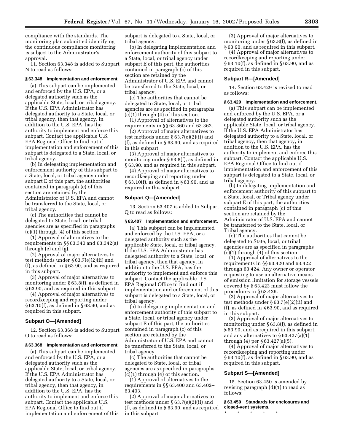compliance with the standards. The monitoring plan submitted identifying the continuous compliance monitoring is subject to the Administrator's approval.

11. Section 63.348 is added to Subpart N to read as follows:

#### **§ 63.348 Implementation and enforcement.**

(a) This subpart can be implemented and enforced by the U.S. EPA, or a delegated authority such as the applicable State, local, or tribal agency. If the U.S. EPA Administrator has delegated authority to a State, local, or tribal agency, then that agency, in addition to the U.S. EPA, has the authority to implement and enforce this subpart. Contact the applicable U.S. EPA Regional Office to find out if implementation and enforcement of this subpart is delegated to a State, local, or tribal agency.

(b) In delegating implementation and enforcement authority of this subpart to a State, local, or tribal agency under subpart E of this part, the authorities contained in paragraph (c) of this section are retained by the Administrator of U.S. EPA and cannot be transferred to the State, local, or tribal agency.

(c) The authorities that cannot be delegated to State, local, or tribal agencies are as specified in paragraphs (c)(1) through (4) of this section.

(1) Approval of alternatives to the requirements in §§ 63.340 and 63.342(a) through (e) and (g).

(2) Approval of major alternatives to test methods under § 63.7(e)(2)(ii) and (f), as defined in § 63.90, and as required in this subpart.

(3) Approval of major alternatives to monitoring under § 63.8(f), as defined in § 63.90, and as required in this subpart.

(4) Approval of major alternatives to recordkeeping and reporting under § 63.10(f), as defined in § 63.90, and as required in this subpart.

#### **Subpart O—[Amended]**

12. Section 63.368 is added to Subpart O to read as follows:

#### **§ 63.368 Implementation and enforcement.**

(a) This subpart can be implemented and enforced by the U.S. EPA, or a delegated authority such as the applicable State, local, or tribal agency. If the U.S. EPA Administrator has delegated authority to a State, local, or tribal agency, then that agency, in addition to the U.S. EPA, has the authority to implement and enforce this subpart. Contact the applicable U.S. EPA Regional Office to find out if implementation and enforcement of this subpart is delegated to a State, local, or tribal agency.

(b) In delegating implementation and enforcement authority of this subpart to a State, local, or tribal agency under subpart E of this part, the authorities contained in paragraph (c) of this section are retained by the Administrator of U.S. EPA and cannot be transferred to the State, local, or tribal agency.

(c) The authorities that cannot be delegated to State, local, or tribal agencies are as specified in paragraphs  $(c)(1)$  through  $(4)$  of this section.

(1) Approval of alternatives to the requirements in §§ 63.360 and 63.362.

(2) Approval of major alternatives to test methods under § 63.7(e)(2)(ii) and (f), as defined in § 63.90, and as required in this subpart.

(3) Approval of major alternatives to monitoring under § 63.8(f), as defined in § 63.90, and as required in this subpart.

(4) Approval of major alternatives to recordkeeping and reporting under § 63.10(f), as defined in § 63.90, and as required in this subpart.

#### **Subpart Q—[Amended]**

13. Section 63.407 is added to Subpart Q to read as follows:

#### **§ 63.407 Implementation and enforcement.**

(a) This subpart can be implemented and enforced by the U.S. EPA, or a delegated authority such as the applicable State, local, or tribal agency. If the U.S. EPA Administrator has delegated authority to a State, local, or tribal agency, then that agency, in addition to the U.S. EPA, has the authority to implement and enforce this subpart. Contact the applicable U.S. EPA Regional Office to find out if implementation and enforcement of this subpart is delegated to a State, local, or tribal agency.

(b) In delegating implementation and enforcement authority of this subpart to a State, local, or tribal agency under subpart E of this part, the authorities contained in paragraph (c) of this section are retained by the Administrator of U.S. EPA and cannot be transferred to the State, local, or tribal agency.

(c) The authorities that cannot be delegated to State, local, or tribal agencies are as specified in paragraphs (c)(1) through (4) of this section.

(1) Approval of alternatives to the requirements in §§ 63.400 and 63.402– 63.403.

(2) Approval of major alternatives to test methods under § 63.7(e)(2)(ii) and (f), as defined in § 63.90, and as required in this subpart.

(3) Approval of major alternatives to monitoring under § 63.8(f), as defined in § 63.90, and as required in this subpart.

(4) Approval of major alternatives to recordkeeping and reporting under § 63.10(f), as defined in § 63.90, and as required in this subpart.

#### **Subpart R—[Amended]**

14. Section 63.429 is revised to read as follows:

#### **§ 63.429 Implementation and enforcement.**

(a) This subpart can be implemented and enforced by the U.S. EPA, or a delegated authority such as the applicable State, local, or tribal agency. If the U.S. EPA Administrator has delegated authority to a State, local, or tribal agency, then that agency, in addition to the U.S. EPA, has the authority to implement and enforce this subpart. Contact the applicable U.S. EPA Regional Office to find out if implementation and enforcement of this subpart is delegated to a State, local, or tribal agency.

(b) In delegating implementation and enforcement authority of this subpart to a State, local, or Tribal agency under subpart E of this part, the authorities contained in paragraph (c) of this section are retained by the Administrator of U.S. EPA and cannot be transferred to the State, local, or Tribal agency.

(c) The authorities that cannot be delegated to State, local, or tribal agencies are as specified in paragraphs (c)(1) through (4) of this section.

(1) Approval of alternatives to the requirements in §§ 63.420 and 63.422 through 63.424. Any owner or operator requesting to use an alternative means of emission limitation for storage vessels covered by § 63.423 must follow the procedures in § 63.426.

(2) Approval of major alternatives to test methods under § 63.7(e)(2)(ii) and (f), as defined in § 63.90, and as required in this subpart.

(3) Approval of major alternatives to monitoring under § 63.8(f), as defined in § 63.90, and as required in this subpart, and any alternatives to § 63.427(a)(1) through (4) per § 63.427(a)(5).

(4) Approval of major alternatives to recordkeeping and reporting under § 63.10(f), as defined in § 63.90, and as required in this subpart.

#### **Subpart S—[Amended]**

15. Section 63.450 is amended by revising paragraph (d)(1) to read as follows:

**§ 63.450 Standards for enclosures and closed-vent systems.**

\* \* \* \* \*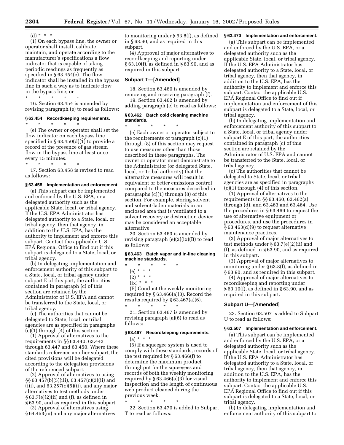(d)  $* * * *$ 

(1) On each bypass line, the owner or operator shall install, calibrate, maintain, and operate according to the manufacturer's specifications a flow indicator that is capable of taking periodic readings as frequently as specified in § 63.454(e). The flow indicator shall be installed in the bypass line in such a way as to indicate flow in the bypass line; or

\* \* \* \* \* 16. Section 63.454 is amended by revising paragraph (e) to read as follows:

#### **§ 63.454 Recordkeeping requirements.**

\* \* \* \* \* (e) The owner or operator shall set the flow indicator on each bypass line specified in § 63.450(d)(1) to provide a record of the presence of gas stream flow in the bypass line at least once every 15 minutes.

\* \* \* \* \* 17. Section 63.458 is revised to read as follows:

#### **§ 63.458 Implementation and enforcement.**

(a) This subpart can be implemented and enforced by the U.S. EPA, or a delegated authority such as the applicable State, local, or tribal agency. If the U.S. EPA Administrator has delegated authority to a State, local, or tribal agency, then that agency, in addition to the U.S. EPA, has the authority to implement and enforce this subpart. Contact the applicable U.S. EPA Regional Office to find out if this subpart is delegated to a State, local, or tribal agency.

(b) In delegating implementation and enforcement authority of this subpart to a State, local, or tribal agency under subpart E of this part, the authorities contained in paragraph (c) of this section are retained by the Administrator of U.S. EPA and cannot be transferred to the State, local, or tribal agency.

(c) The authorities that cannot be delegated to State, local, or tribal agencies are as specified in paragraphs (c)(1) through (4) of this section.

(1) Approval of alternatives to the requirements in §§ 63.440, 63.443 through 63.447 and 63.450. Where these standards reference another subpart, the cited provisions will be delegated according to the delegation provisions of the referenced subpart.

(2) Approval of alternatives to using §§ 63.457(b)(5)(iii), 63.457(c)(3)(ii) and  $(iii)$ , and  $63.257(c)(5)(ii)$ , and any major alternatives to test methods under  $§ 63.7(e)(2)(ii)$  and (f), as defined in § 63.90, and as required in this subpart.

(3) Approval of alternatives using § 64.453(m) and any major alternatives

to monitoring under § 63.8(f), as defined in § 63.90, and as required in this subpart.

(4) Approval of major alternatives to recordkeeping and reporting under § 63.10(f), as defined in § 63.90, and as required in this subpart.

#### **Subpart T—[Amended]**

18. Section 63.460 is amended by removing and reserving paragraph (f).

19. Section 63.462 is amended by adding paragraph (e) to read as follows:

#### **§ 63.462 Batch cold cleaning machine standards.**

\* \* \* \* \* (e) Each owner or operator subject to the requirements of paragraph  $(c)(1)$ through (8) of this section may request to use measures other than those described in these paragraphs. The owner or operator must demonstrate to the Administrator (or delegated State, local, or Tribal authority) that the alternative measures will result in equivalent or better emissions control compared to the measures described in paragraphs (c)(1) through (8) of this section. For example, storing solvent and solvent-laden materials in an enclosed area that is ventilated to a solvent recovery or destruction device may be considered an acceptable alternative.

20. Section 63.463 is amended by revising paragraph (e)(2)(ix)(B) to read as follows:

#### **§ 63.463 Batch vapor and in-line cleaning machine standards.**

- \* \* \* \* \*
	- (e) \* \* \*
	- $(2) * * * *$
	- $(ix) * * * *$

(B) Conduct the weekly monitoring required by § 63.466(a)(3). Record the results required by § 63.467(a)(6). \* \* \* \* \*

21. Section 63.467 is amended by revising paragraph (a)(6) to read as follows:

#### **§ 63.467 Recordkeeping requirements.**  $(a) * * * *$

(6) If a squeegee system is used to comply with these standards, records of the test required by § 63.466(f) to determine the maximum product throughput for the squeegees and records of both the weekly monitoring required by  $\S 63.466(a)(3)$  for visual inspection and the length of continuous web product cleaned during the previous week.

\* \* \* \* \*

22. Section 63.470 is added to Subpart T to read as follows:

#### **§ 63.470 Implementation and enforcement.**

(a) This subpart can be implemented and enforced by the U.S. EPA, or a delegated authority such as the applicable State, local, or tribal agency. If the U.S. EPA Administrator has delegated authority to a State, local, or tribal agency, then that agency, in addition to the U.S. EPA, has the authority to implement and enforce this subpart. Contact the applicable U.S. EPA Regional Office to find out if implementation and enforcement of this subpart is delegated to a State, local, or tribal agency.

(b) In delegating implementation and enforcement authority of this subpart to a State, local, or tribal agency under subpart E of this part, the authorities contained in paragraph (c) of this section are retained by the Administrator of U.S. EPA and cannot be transferred to the State, local, or tribal agency.

(c) The authorities that cannot be delegated to State, local, or tribal agencies are as specified in paragraphs (c)(1) through (4) of this section.

(1) Approval of alternatives to the requirements in §§ 63.460, 63.462(a) through (d), and 63.463 and 63.464. Use the procedures in § 63.469 to request the use of alternative equipment or procedures, and use the procedures in § 63.463(d)(9) to request alternative maintenance practices.

(2) Approval of major alternatives to test methods under § 63.7(e)(2)(ii) and (f), as defined in § 63.90, and as required in this subpart.

(3) Approval of major alternatives to monitoring under § 63.8(f), as defined in § 63.90, and as required in this subpart.

(4) Approval of major alternatives to recordkeeping and reporting under § 63.10(f), as defined in § 63.90, and as required in this subpart.

#### **Subpart U—[Amended]**

23. Section 63.507 is added to Subpart U to read as follows:

#### **§ 63.507 Implementation and enforcement.**

(a) This subpart can be implemented and enforced by the U.S. EPA, or a delegated authority such as the applicable State, local, or tribal agency. If the U.S. EPA Administrator has delegated authority to a State, local, or tribal agency, then that agency, in addition to the U.S. EPA, has the authority to implement and enforce this subpart. Contact the applicable U.S. EPA Regional Office to find out if this subpart is delegated to a State, local, or tribal agency.

(b) In delegating implementation and enforcement authority of this subpart to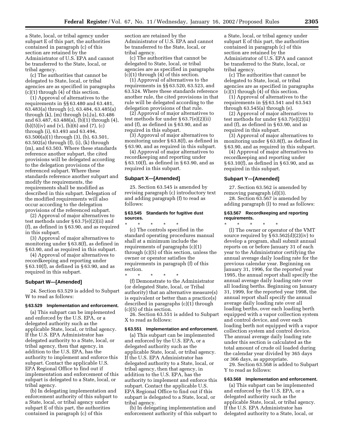a State, local, or tribal agency under subpart E of this part, the authorities contained in paragraph (c) of this section are retained by the Administrator of U.S. EPA and cannot be transferred to the State, local, or tribal agency.

(c) The authorities that cannot be delegated to State, local, or tribal agencies are as specified in paragraphs  $(c)(1)$  through  $(4)$  of this section.

(1) Approval of alternatives to the requirements in §§ 63.480 and 63.481, 63.483(a) through (c), 63.484, 63.485(a) through (k), (m) through (s),(u), 63.486 and 63.487, 63.488(a), (b)(1) through (4),  $(b)(5)(iv)$  and  $(v)$ ,  $(b)(6)$  and  $(7)$ ,  $(c)$ through (i), 63.493 and 63.494, 63.500(a)(1) through (3), (b), 63.501, 63.502(a) through (f), (i), (k) through (m), and 63.503. Where these standards reference another subpart, the cited provisions will be delegated according to the delegation provisions of the referenced subpart. Where these standards reference another subpart and modify the requirements, the requirements shall be modified as described in this subpart. Delegation of the modified requirements will also occur according to the delegation provisions of the referenced subpart.

(2) Approval of major alternatives to test methods under § 63.7(e)(2)(ii) and (f), as defined in § 63.90, and as required in this subpart.

(3) Approval of major alternatives to monitoring under § 63.8(f), as defined in § 63.90, and as required in this subpart.

(4) Approval of major alternatives to recordkeeping and reporting under § 63.10(f), as defined in § 63.90, and as required in this subpart.

#### **Subpart W—[Amended]**

24. Section 63.529 is added to Subpart W to read as follows:

#### **§ 63.529 Implementation and enforcement.**

(a) This subpart can be implemented and enforced by the U.S. EPA, or a delegated authority such as the applicable State, local, or tribal agency. If the U.S. EPA Administrator has delegated authority to a State, local, or tribal agency, then that agency, in addition to the U.S. EPA, has the authority to implement and enforce this subpart. Contact the applicable U.S. EPA Regional Office to find out if implementation and enforcement of this subpart is delegated to a State, local, or tribal agency.

(b) In delegating implementation and enforcement authority of this subpart to a State, local, or tribal agency under subpart E of this part, the authorities contained in paragraph (c) of this

section are retained by the Administrator of U.S. EPA and cannot be transferred to the State, local, or tribal agency.

(c) The authorities that cannot be delegated to State, local, or tribal agencies are as specified in paragraphs (c)(1) through (4) of this section.

(1) Approval of alternatives to the requirements in §§ 63.520, 63.523, and 63.524. Where these standards reference another rule, the cited provisions in that rule will be delegated according to the delegation provisions of that rule.

(2) Approval of major alternatives to test methods for under § 63.7(e)(2)(ii) and (f), as defined in § 63.90, and as required in this subpart.

(3) Approval of major alternatives to monitoring under § 63.8(f), as defined in § 63.90, and as required in this subpart.

(4) Approval of major alternatives to recordkeeping and reporting under § 63.10(f), as defined in § 63.90, and as required in this subpart.

#### **Subpart X—[Amended]**

25. Section 63.545 is amended by revising paragraph (c) introductory text and adding paragraph (f) to read as follows:

#### **§ 63.545 Standards for fugitive dust sources.**

\* \* \* \* \* (c) The controls specified in the standard operating procedures manual shall at a minimum include the requirements of paragraphs (c)(1) through (c)(5) of this section, unless the owner or operator satisfies the requirements in paragraph (f) of this section.

\* \* \* \* \* (f) Demonstrate to the Administrator (or delegated State, local, or Tribal authority) that an alternative measure(s) is equivalent or better than a practice(s) described in paragraphs (c)(1) through (c)(5) of this section.

26. Section 63.551 is added to Subpart X to read as follows:

#### **§ 63.551 Implementation and enforcement.**

(a) This subpart can be implemented and enforced by the U.S. EPA, or a delegated authority such as the applicable State, local, or tribal agency. If the U.S. EPA Administrator has delegated authority to a State, local, or tribal agency, then that agency, in addition to the U.S. EPA, has the authority to implement and enforce this subpart. Contact the applicable U.S. EPA Regional Office to find out if this subpart is delegated to a State, local, or tribal agency.

(b) In delegating implementation and enforcement authority of this subpart to a State, local, or tribal agency under subpart E of this part, the authorities contained in paragraph (c) of this section are retained by the Administrator of U.S. EPA and cannot be transferred to the State, local, or tribal agency.

(c) The authorities that cannot be delegated to State, local, or tribal agencies are as specified in paragraphs  $(c)(1)$  through  $(4)$  of this section.

(1) Approval of alternatives to the requirements in §§ 63.541 and 63.543 through 63.545(a) through (e).

(2) Approval of major alternatives to test methods for under § 63.7(e)(2)(ii) and (f), as defined in § 63.90, and as required in this subpart.

(3) Approval of major alternatives to monitoring under § 63.8(f), as defined in § 63.90, and as required in this subpart.

(4) Approval of major alternatives to recordkeeping and reporting under § 63.10(f), as defined in § 63.90, and as required in this subpart.

#### **Subpart Y—[Amended]**

27. Section 63.562 is amended by removing paragraph (d)(3).

28. Section 63.567 is amended by adding paragraph (l) to read as follows:

#### **§ 63.567 Recordkeeping and reporting requirements.**

\* \* \* \* \* (l) The owner or operator of the VMT source required by  $\S 63.562(d)(2)(iv)$  to develop a program, shall submit annual reports on or before January 31 of each year to the Administrator certifying the annual average daily loading rate for the previous calendar year. Beginning on January 31, 1996, for the reported year 1995, the annual report shall specify the annual average daily loading rate over all loading berths. Beginning on January 31, 1999, for the reported year 1998, the annual report shall specify the annual average daily loading rate over all loading berths, over each loading berth equipped with a vapor collection system and control device, and over each loading berth not equipped with a vapor collection system and control device. The annual average daily loading rate under this section is calculated as the total amount of crude oil loaded during the calendar year divided by 365 days or 366 days, as appropriate.

29. Section 63.568 is added to Subpart Y to read as follows:

#### **§ 63.568 Implementation and enforcement.**

(a) This subpart can be implemented and enforced by the U.S. EPA, or a delegated authority such as the applicable State, local, or tribal agency. If the U.S. EPA Administrator has delegated authority to a State, local, or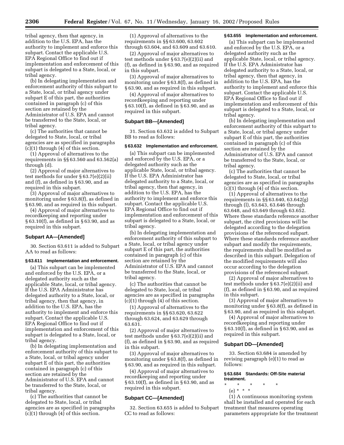tribal agency, then that agency, in addition to the U.S. EPA, has the authority to implement and enforce this subpart. Contact the applicable U.S. EPA Regional Office to find out if implementation and enforcement of this subpart is delegated to a State, local, or tribal agency.

(b) In delegating implementation and enforcement authority of this subpart to a State, local, or tribal agency under subpart E of this part, the authorities contained in paragraph (c) of this section are retained by the Administrator of U.S. EPA and cannot be transferred to the State, local, or tribal agency.

(c) The authorities that cannot be delegated to State, local, or tribal agencies are as specified in paragraphs (c)(1) through (4) of this section.

(1) Approval of alternatives to the requirements in §§ 63.560 and 63.562(a) through (d).

(2) Approval of major alternatives to test methods for under § 63.7(e)(2)(ii) and (f), as defined in § 63.90, and as required in this subpart.

(3) Approval of major alternatives to monitoring under § 63.8(f), as defined in § 63.90, and as required in this subpart.

(4) Approval of major alternatives to recordkeeping and reporting under § 63.10(f), as defined in § 63.90, and as required in this subpart.

#### **Subpart AA—[Amended]**

30. Section 63.611 is added to Subpart AA to read as follows:

#### **§ 63.611 Implementation and enforcement.**

(a) This subpart can be implemented and enforced by the U.S. EPA, or a delegated authority such as the applicable State, local, or tribal agency. If the U.S. EPA Administrator has delegated authority to a State, local, or tribal agency, then that agency, in addition to the U.S. EPA, has the authority to implement and enforce this subpart. Contact the applicable U.S. EPA Regional Office to find out if implementation and enforcement of this subpart is delegated to a State, local, or tribal agency.

(b) In delegating implementation and enforcement authority of this subpart to a State, local, or tribal agency under subpart E of this part, the authorities contained in paragraph (c) of this section are retained by the Administrator of U.S. EPA and cannot be transferred to the State, local, or tribal agency.

(c) The authorities that cannot be delegated to State, local, or tribal agencies are as specified in paragraphs (c)(1) through (4) of this section.

(1) Approval of alternatives to the requirements in §§ 63.600, 63.602 through 63.604, and 63.609 and 63.610.

(2) Approval of major alternatives to test methods under § 63.7(e)(2)(ii) and (f), as defined in § 63.90, and as required in this subpart.

(3) Approval of major alternatives to monitoring under § 63.8(f), as defined in § 63.90, and as required in this subpart.

(4) Approval of major alternatives to recordkeeping and reporting under § 63.10(f), as defined in § 63.90, and as required in this subpart.

#### **Subpart BB—[Amended]**

31. Section 63.632 is added to Subpart BB to read as follows:

#### **§ 63.632 Implementation and enforcement.**

(a) This subpart can be implemented and enforced by the U.S. EPA, or a delegated authority such as the applicable State, local, or tribal agency. If the U.S. EPA Administrator has delegated authority to a State, local, or tribal agency, then that agency, in addition to the U.S. EPA, has the authority to implement and enforce this subpart. Contact the applicable U.S. EPA Regional Office to find out if implementation and enforcement of this subpart is delegated to a State, local, or tribal agency.

(b) In delegating implementation and enforcement authority of this subpart to a State, local, or tribal agency under subpart E of this part, the authorities contained in paragraph (c) of this section are retained by the Administrator of U.S. EPA and cannot be transferred to the State, local, or tribal agency.

(c) The authorities that cannot be delegated to State, local, or tribal agencies are as specified in paragraphs  $(c)(1)$  through  $(4)$  of this section.

(1) Approval of alternatives to the requirements in §§ 63.620, 63.622 through 63.624, and 63.629 through 63.631.

(2) Approval of major alternatives to test methods under § 63.7(e)(2)(ii) and (f), as defined in § 63.90, and as required in this subpart.

(3) Approval of major alternatives to monitoring under § 63.8(f), as defined in § 63.90, and as required in this subpart.

(4) Approval of major alternatives to recordkeeping and reporting under § 63.10(f), as defined in § 63.90, and as required in this subpart.

#### **Subpart CC—[Amended]**

32. Section 63.655 is added to Subpart CC to read as follows:

#### **§ 63.655 Implementation and enforcement.**

(a) This subpart can be implemented and enforced by the U.S. EPA, or a delegated authority such as the applicable State, local, or tribal agency. If the U.S. EPA Administrator has delegated authority to a State, local, or tribal agency, then that agency, in addition to the U.S. EPA, has the authority to implement and enforce this subpart. Contact the applicable U.S. EPA Regional Office to find out if implementation and enforcement of this subpart is delegated to a State, local, or tribal agency.

(b) In delegating implementation and enforcement authority of this subpart to a State, local, or tribal agency under subpart E of this part, the authorities contained in paragraph (c) of this section are retained by the Administrator of U.S. EPA and cannot be transferred to the State, local, or tribal agency.

(c) The authorities that cannot be delegated to State, local, or tribal agencies are as specified in paragraphs  $(c)(1)$  through  $(4)$  of this section.

(1) Approval of alternatives to the requirements in §§ 63.640, 63.642(g) through (l), 63.643, 63.646 through 63.648, and 63.649 through 63.652. Where these standards reference another subpart, the cited provisions will be delegated according to the delegation provisions of the referenced subpart. Where these standards reference another subpart and modify the requirements, the requirements shall be modified as described in this subpart. Delegation of the modified requirements will also occur according to the delegation provisions of the referenced subpart.

(2) Approval of major alternatives to test methods under § 63.7(e)(2)(ii) and (f), as defined in § 63.90, and as required in this subpart.

(3) Approval of major alternatives to monitoring under § 63.8(f), as defined in § 63.90, and as required in this subpart.

(4) Approval of major alternatives to recordkeeping and reporting under § 63.10(f), as defined in § 63.90, and as required in this subpart.

#### **Subpart DD—[Amended]**

33. Section 63.684 is amended by revising paragraph (e)(1) to read as follows:

#### **§ 63.684 Standards: Off-Site material treatment.**

- \* \* \* \* \*
- (e) \* \* \*

(1) A continuous monitoring system shall be installed and operated for each treatment that measures operating parameters appropriate for the treatment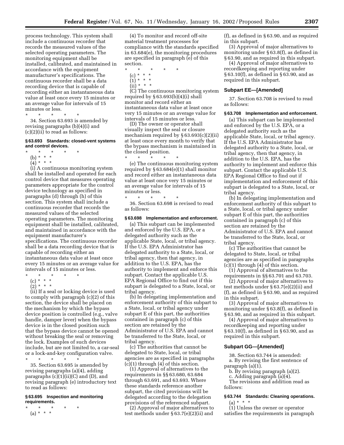process technology. This system shall include a continuous recorder that records the measured values of the selected operating parameters. The monitoring equipment shall be installed, calibrated, and maintained in accordance with the equipment manufacturer's specifications. The continuous recorder shall be a data recording device that is capable of recording either an instantaneous data value at least once every 15 minutes or an average value for intervals of 15 minutes or less.

\* \* \* \* \*

34. Section 63.693 is amended by revising paragraphs (b)(4)(i) and (c)(2)(ii) to read as follows:

#### **§ 63.693 Standards: closed-vent systems and control devices.**

- $*$  \*
- (b) \* \* \*
- $(4) * * * *$

(i) A continuous monitoring system shall be installed and operated for each control device that measures operating parameters appropriate for the control device technology as specified in paragraphs (d) through (h) of this section. This system shall include a continuous recorder that records the measured values of the selected operating parameters. The monitoring equipment shall be installed, calibrated, and maintained in accordance with the equipment manufacturer's specifications. The continuous recorder shall be a data recording device that is capable of recording either an instantaneous data value at least once every 15 minutes or an average value for intervals of 15 minutes or less.

- $\star$   $\star$   $\star$
- (c) \* \* \* \*

 $\binom{5}{2}$  \* \* \*

(ii) If a seal or locking device is used to comply with paragraph (c)(2) of this section, the device shall be placed on the mechanism by which the bypass device position is controlled (e.g., valve handle, damper lever) when the bypass device is in the closed position such that the bypass device cannot be opened without breaking the seal or removing the lock. Examples of such devices include, but are not limited to, a car-seal or a lock-and-key configuration valve. \* \* \* \* \*

35. Section 63.695 is amended by revising paragraphs (a)(4), adding paragraphs  $(c)(1)(ii)(C)$  and  $(D)$ , and revising paragraph (e) introductory text to read as follows:

#### **§ 63.695 Inspection and monitoring requirements.**

\* \* \* \* \* (a) \* \* \*

(4) To monitor and record off-site material treatment processes for compliance with the standards specified in 63.684(e), the monitoring procedures are specified in paragraph (e) of this section.

- \* \* \* \* \*
	- (c) \* \* \*
	- $(1) * * * *$
	- $(ii) * * * *$

(C) The continuous monitoring system required by  $§ 63.693(b)(4)(i)$  shall monitor and record either an instantaneous data value at least once very 15 minutes or an average value for intervals of 15 minutes or less.

(D) The owner or operator shall visually inspect the seal or closure mechanism required by § 63.693(c)(2)(ii) at least once every month to verify that the bypass mechanism is maintained in the closed position. \* \* \* \* \*

(e) The continuous monitoring system required by § 63.684(e)(1) shall monitor and record either an instantaneous data value at least once very 15 minutes or an average value for intervals of 15 minutes or less.

\* \* \* \* \* 36. Section 63.698 is revised to read as follows:

#### **§ 63.698 Implementation and enforcement.**

(a) This subpart can be implemented and enforced by the U.S. EPA, or a delegated authority such as the applicable State, local, or tribal agency. If the U.S. EPA Administrator has delegated authority to a State, local, or tribal agency, then that agency, in addition to the U.S. EPA, has the authority to implement and enforce this subpart. Contact the applicable U.S. EPA Regional Office to find out if this subpart is delegated to a State, local, or tribal agency.

(b) In delegating implementation and enforcement authority of this subpart to a State, local, or tribal agency under subpart E of this part, the authorities contained in paragraph (c) of this section are retained by the Administrator of U.S. EPA and cannot be transferred to the State, local, or tribal agency.

(c) The authorities that cannot be delegated to State, local, or tribal agencies are as specified in paragraphs (c)(1) through (4) of this section.

(1) Approval of alternatives to the requirements in §§ 63.680, 63.684 through 63.691, and 63.693. Where these standards reference another subpart, the cited provisions will be delegated according to the delegation provisions of the referenced subpart.

(2) Approval of major alternatives to test methods under § 63.7(e)(2)(ii) and

(f), as defined in § 63.90, and as required in this subpart.

(3) Approval of major alternatives to monitoring under § 63.8(f), as defined in § 63.90, and as required in this subpart.

(4) Approval of major alternatives to recordkeeping and reporting under § 63.10(f), as defined in § 63.90, and as required in this subpart.

#### **Subpart EE—[Amended]**

37. Section 63.708 is revised to read as follows:

#### **§ 63.708 Implementation and enforcement.**

(a) This subpart can be implemented and enforced by the U.S. EPA, or a delegated authority such as the applicable State, local, or tribal agency. If the U.S. EPA Administrator has delegated authority to a State, local, or tribal agency, then that agency, in addition to the U.S. EPA, has the authority to implement and enforce this subpart. Contact the applicable U.S. EPA Regional Office to find out if implementation and enforcement of this subpart is delegated to a State, local, or tribal agency.

(b) In delegating implementation and enforcement authority of this subpart to a State, local, or tribal agency under subpart E of this part, the authorities contained in paragraph (c) of this section are retained by the Administrator of U.S. EPA and cannot be transferred to the State, local, or tribal agency.

(c) The authorities that cannot be delegated to State, local, or tribal agencies are as specified in paragraphs (c)(1) through (4) of this section.

(1) Approval of alternatives to the requirements in §§ 63.701 and 63.703.

(2) Approval of major alternatives to test methods under § 63.7(e)(2)(ii) and (f), as defined in § 63.90, and as required in this subpart.

(3) Approval of major alternatives to monitoring under § 63.8(f), as defined in § 63.90, and as required in this subpart.

(4) Approval of major alternatives to recordkeeping and reporting under § 63.10(f), as defined in § 63.90, and as required in this subpart.

#### **Subpart GG—[Amended]**

38. Section 63.744 is amended: a. By revising the first sentence of paragraph (a)(1).

b. By revising paragraph (a)(2). c. Adding paragraph (a)(4).

The revisions and addition read as follows:

#### **§ 63.744 Standards: Cleaning operations.**

(a) \* \* \*

(1) Unless the owner or operator satisfies the requirements in paragraph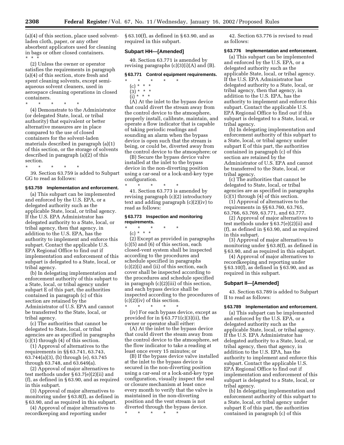(a)(4) of this section, place used solventladen cloth, paper, or any other absorbent applicators used for cleaning in bags or other closed containers. \*\*\*

(2) Unless the owner or operator satisfies the requirements in paragraph (a)(4) of this section, store fresh and spent cleaning solvents, except semiaqueous solvent cleaners, used in aerospace cleaning operations in closed containers.

\* \* \* \* \* (4) Demonstrate to the Administrator (or delegated State, local, or tribal authority) that equivalent or better alternative measures are in place compared to the use of closed containers for the solvent-laden materials described in paragraph (a)(1) of this section, or the storage of solvents described in paragraph (a)(2) of this section.

\* \* \* \* \*

39. Section 63.759 is added to Subpart GG to read as follows:

#### **§ 63.759 Implementation and enforcement.**

(a) This subpart can be implemented and enforced by the U.S. EPA, or a delegated authority such as the applicable State, local, or tribal agency. If the U.S. EPA Administrator has delegated authority to a State, local, or tribal agency, then that agency, in addition to the U.S. EPA, has the authority to implement and enforce this subpart. Contact the applicable U.S. EPA Regional Office to find out if implementation and enforcement of this subpart is delegated to a State, local, or tribal agency.

(b) In delegating implementation and enforcement authority of this subpart to a State, local, or tribal agency under subpart E of this part, the authorities contained in paragraph (c) of this section are retained by the Administrator of U.S. EPA and cannot be transferred to the State, local, or tribal agency.

(c) The authorities that cannot be delegated to State, local, or tribal agencies are as specified in paragraphs (c)(1) through (4) of this section.

(1) Approval of alternatives to the requirements in §§ 63.741, 63.743, 63.744(a)(3), (b) through (e), 63.745 through 63.748, and 63.649(a).

(2) Approval of major alternatives to test methods under § 63.7(e)(2)(ii) and (f), as defined in § 63.90, and as required in this subpart.

(3) Approval of major alternatives to monitoring under § 63.8(f), as defined in § 63.90, and as required in this subpart.

(4) Approval of major alternatives to recordkeeping and reporting under

§ 63.10(f), as defined in § 63.90, and as required in this subpart.

#### **Subpart HH—[Amended]**

40. Section 63.771 is amended by revising paragraphs (c)(3)(i)(A) and (B).

#### **§ 63.771 Control equipment requirements.**

- \* \* \* \* \*
- (c) \* \* \*
- (3) \* \* \*  $\int$ i) \* \* \*

(A) At the inlet to the bypass device that could divert the stream away from the control device to the atmosphere, properly install, calibrate, maintain, and operate a flow indicator that is capable of taking periodic readings and sounding an alarm when the bypass device is open such that the stream is being, or could be, diverted away from the control device to the atmosphere; or

(B) Secure the bypass device valve installed at the inlet to the bypass device in the non-diverting position using a car-seal or a lock-and-key type configuration.

\* \* \* \* \* 41. Section 63.773 is amended by revising paragraph (c)(2) introductory text and adding paragraph (c)(2)(iv) to read as follows:

#### **§ 63.773 Inspection and monitoring requirements.**

#### \* \* \* \* \*

(c) \* \* \* (2) Except as provided in paragraphs (c)(5) and (6) of this section, each closed-vent system shall be inspected according to the procedures and schedule specified in paragraphs (c)(2)(i) and (ii) of this section, each cover shall be inspected according to the procedures and schedule specified in paragraph (c)(2)(iii) of this section, and each bypass device shall be inspected according to the procedures of (c)(2)(iv) of this section.

\* \* \* \* \* (iv) For each bypass device, except as provided for in  $\S 63.771(c)(3)(ii)$ , the owner or operator shall either:

(A) At the inlet to the bypass device that could divert the steam away from the control device to the atmosphere, set the flow indicator to take a reading at least once every 15 minutes; or

(B) If the bypass device valve installed at the inlet to the bypass device is secured in the non-diverting position using a car-seal or a lock-and-key type configuration, visually inspect the seal or closure mechanism at least once every month to verify that the valve is maintained in the non-diverting position and the vent stream is not diverted through the bypass device.

\* \* \* \* \*

42. Section 63.776 is revised to read as follows:

#### **§ 63.776 Implementation and enforcement.**

(a) This subpart can be implemented and enforced by the U.S. EPA, or a delegated authority such as the applicable State, local, or tribal agency. If the U.S. EPA Administrator has delegated authority to a State, local, or tribal agency, then that agency, in addition to the U.S. EPA, has the authority to implement and enforce this subpart. Contact the applicable U.S. EPA Regional Office to find out if this subpart is delegated to a State, local, or tribal agency.

(b) In delegating implementation and enforcement authority of this subpart to a State, local, or tribal agency under subpart E of this part, the authorities contained in paragraph (c) of this section are retained by the Administrator of U.S. EPA and cannot be transferred to the State, local, or tribal agency.

(c) The authorities that cannot be delegated to State, local, or tribal agencies are as specified in paragraphs  $(c)(1)$  through  $(4)$  of this section.

(1) Approval of alternatives to the requirements in §§ 63.760, 63.765, 63.766, 63.769, 63.771, and 63.777.

(2) Approval of major alternatives to test methods under § 63.7(e)(2)(ii) and (f), as defined in § 63.90, and as required in this subpart.

(3) Approval of major alternatives to monitoring under § 63.8(f), as defined in § 63.90, and as required in this subpart.

(4) Approval of major alternatives to recordkeeping and reporting under § 63.10(f), as defined in § 63.90, and as required in this subpart.

#### **Subpart II—[Amended]**

43. Section 63.789 is added to Subpart II to read as follows:

#### **§ 63.789 Implementation and enforcement.**

(a) This subpart can be implemented and enforced by the U.S. EPA, or a delegated authority such as the applicable State, local, or tribal agency. If the U.S. EPA Administrator has delegated authority to a State, local, or tribal agency, then that agency, in addition to the U.S. EPA, has the authority to implement and enforce this subpart. Contact the applicable U.S. EPA Regional Office to find out if implementation and enforcement of this subpart is delegated to a State, local, or tribal agency.

(b) In delegating implementation and enforcement authority of this subpart to a State, local, or tribal agency under subpart E of this part, the authorities contained in paragraph (c) of this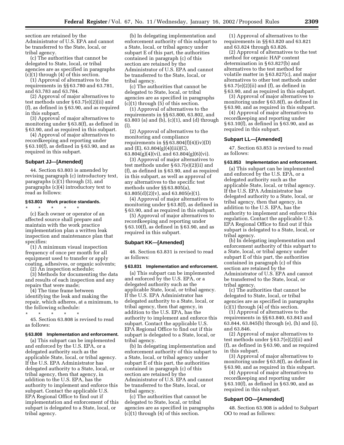section are retained by the Administrator of U.S. EPA and cannot be transferred to the State, local, or tribal agency.

(c) The authorities that cannot be delegated to State, local, or tribal agencies are as specified in paragraphs (c)(1) through (4) of this section.

(1) Approval of alternatives to the requirements in §§ 63.780 and 63.781, and 63.783 and 63.784.

(2) Approval of major alternatives to test methods under § 63.7(e)(2)(ii) and (f), as defined in § 63.90, and as required in this subpart.

(3) Approval of major alternatives to monitoring under § 63.8(f), as defined in § 63.90, and as required in this subpart.

(4) Approval of major alternatives to recordkeeping and reporting under § 63.10(f), as defined in § 63.90, and as required in this subpart.

#### **Subpart JJ—[Amended]**

44. Section 63.803 is amended by revising paragraph (c) introductory text, paragraphs (c)(1) through (3), and paragraphs (c)(4) introductory text to read as follows:

#### **§ 63.803 Work practice standards.**

\* \* \* \* \* (c) Each owner or operator of an affected source shall prepare and maintain with the work practice implementation plan a written leak inspection and maintenance plan that specifies:

(1) A minimum visual inspection frequency of once per month for all equipment used to transfer or apply coating, adhesives, or organic solvents;

(2) An inspection schedule;

(3) Methods for documenting the data and results of each inspection and any repairs that were made;

(4) The time frame between identifying the leak and making the repair, which adheres, at a minimum, to the following schedule:

\* \* \* \* \*

45. Section 63.808 is revised to read as follows:

#### **§ 63.808 Implementation and enforcement.**

(a) This subpart can be implemented and enforced by the U.S. EPA, or a delegated authority such as the applicable State, local, or tribal agency. If the U.S. EPA Administrator has delegated authority to a State, local, or tribal agency, then that agency, in addition to the U.S. EPA, has the authority to implement and enforce this subpart. Contact the applicable U.S. EPA Regional Office to find out if implementation and enforcement of this subpart is delegated to a State, local, or tribal agency.

(b) In delegating implementation and enforcement authority of this subpart to a State, local, or tribal agency under subpart E of this part, the authorities contained in paragraph (c) of this section are retained by the Administrator of U.S. EPA and cannot be transferred to the State, local, or tribal agency.

(c) The authorities that cannot be delegated to State, local, or tribal agencies are as specified in paragraphs (c)(1) through (5) of this section.

(1) Approval of alternatives to the requirements in §§ 63.800, 63.802, and 63.803 (a) and (b), (c)(1), and (d) through (l).

(2) Approval of alternatives to the monitoring and compliance requirements in §§ 63.804(f)(4)(iv)(D) and  $(E)$ , 63.804 $(g)(4)(iii)(C)$ , 63.804(g)(4)(vi), and 63.804(g)(6)(vi).

(3) Approval of major alternatives to test methods under § 63.7(e)(2)(ii) and (f), as defined in § 63.90, and as required in this subpart, as well as approval of any alternatives to the specific test methods under §§ 63.805(a),  $63.805(d)(2)(v)$ , and  $63.805(e)(1)$ .

(4) Approval of major alternatives to monitoring under § 63.8(f), as defined in § 63.90, and as required in this subpart.

(5) Approval of major alternatives to recordkeeping and reporting under § 63.10(f), as defined in § 63.90, and as required in this subpart.

#### **Subpart KK—[Amended]**

46. Section 63.831 is revised to read as follows:

#### **§ 63.831 Implementation and enforcement.**

(a) This subpart can be implemented and enforced by the U.S. EPA, or a delegated authority such as the applicable State, local, or tribal agency. If the U.S. EPA Administrator has delegated authority to a State, local, or tribal agency, then that agency, in addition to the U.S. EPA, has the authority to implement and enforce this subpart. Contact the applicable U.S. EPA Regional Office to find out if this subpart is delegated to a State, local, or tribal agency.

(b) In delegating implementation and enforcement authority of this subpart to a State, local, or tribal agency under subpart E of this part, the authorities contained in paragraph (c) of this section are retained by the Administrator of U.S. EPA and cannot be transferred to the State, local, or tribal agency.

(c) The authorities that cannot be delegated to State, local, or tribal agencies are as specified in paragraphs  $(c)(1)$  through  $(4)$  of this section.

(1) Approval of alternatives to the requirements in §§ 63.820 and 63.821 and 63.824 through 63.826.

(2) Approval of alternatives to the test method for organic HAP content determination in § 63.827(b) and alternatives to the test method for volatile matter in § 63.827(c), and major alternatives to other test methods under § 63.7(e)(2)(ii) and (f), as defined in § 63.90, and as required in this subpart.

(3) Approval of major alternatives to monitoring under § 63.8(f), as defined in § 63.90, and as required in this subpart.

(4) Approval of major alternatives to recordkeeping and reporting under § 63.10(f), as defined in § 63.90, and as required in this subpart.

#### **Subpart LL—[Amended]**

47. Section 63.853 is revised to read as follows:

#### **§ 63.853 Implementation and enforcement.**

(a) This subpart can be implemented and enforced by the U.S. EPA, or a delegated authority such as the applicable State, local, or tribal agency. If the U.S. EPA Administrator has delegated authority to a State, local, or tribal agency, then that agency, in addition to the U.S. EPA, has the authority to implement and enforce this regulation. Contact the applicable U.S. EPA Regional Office to find out if this subpart is delegated to a State, local, or tribal agency.

(b) In delegating implementation and enforcement authority of this subpart to a State, local, or tribal agency under subpart E of this part, the authorities contained in paragraph (c) of this section are retained by the Administrator of U.S. EPA and cannot be transferred to the State, local, or tribal agency.

(c) The authorities that cannot be delegated to State, local, or tribal agencies are as specified in paragraphs  $(c)(1)$  through  $(4)$  of this section.

(1) Approval of alternatives to the requirements in §§ 63.840, 63.843 and 63.844, 63.845(b) through (e), (h) and (i), and 63.846.

(2) Approval of major alternatives to test methods under § 63.7(e)(2)(ii) and (f), as defined in § 63.90, and as required in this subpart.

(3) Approval of major alternatives to monitoring under § 63.8(f), as defined in § 63.90, and as required in this subpart.

(4) Approval of major alternatives to recordkeeping and reporting under § 63.10(f), as defined in § 63.90, and as required in this subpart.

#### **Subpart OO—[Amended]**

48. Section 63.908 is added to Subpart OO to read as follows: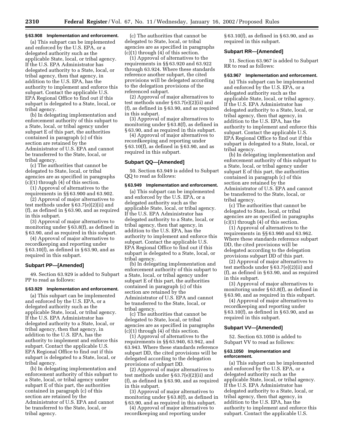#### **§ 63.908 Implementation and enforcement.**

(a) This subpart can be implemented and enforced by the U.S. EPA, or a delegated authority such as the applicable State, local, or tribal agency. If the U.S. EPA Administrator has delegated authority to a State, local, or tribal agency, then that agency, in addition to the U.S. EPA, has the authority to implement and enforce this subpart. Contact the applicable U.S. EPA Regional Office to find out if this subpart is delegated to a State, local, or tribal agency.

(b) In delegating implementation and enforcement authority of this subpart to a State, local, or tribal agency under subpart E of this part, the authorities contained in paragraph (c) of this section are retained by the Administrator of U.S. EPA and cannot be transferred to the State, local, or tribal agency.

(c) The authorities that cannot be delegated to State, local, or tribal agencies are as specified in paragraphs (c)(1) through (4) of this section.

(1) Approval of alternatives to the requirements in §§ 63.900 and 63.902.

(2) Approval of major alternatives to test methods under § 63.7(e)(2)(ii) and (f), as defined in § 63.90, and as required in this subpart.

(3) Approval of major alternatives to monitoring under § 63.8(f), as defined in § 63.90, and as required in this subpart.

(4) Approval of major alternatives to recordkeeping and reporting under § 63.10(f), as defined in § 63.90, and as required in this subpart.

#### **Subpart PP—[Amended]**

49. Section 63.929 is added to Subpart PP to read as follows:

#### **§ 63.929 Implementation and enforcement.**

(a) This subpart can be implemented and enforced by the U.S. EPA, or a delegated authority such as the applicable State, local, or tribal agency. If the U.S. EPA Administrator has delegated authority to a State, local, or tribal agency, then that agency, in addition to the U.S. EPA, has the authority to implement and enforce this subpart. Contact the applicable U.S. EPA Regional Office to find out if this subpart is delegated to a State, local, or tribal agency.

(b) In delegating implementation and enforcement authority of this subpart to a State, local, or tribal agency under subpart E of this part, the authorities contained in paragraph (c) of this section are retained by the Administrator of U.S. EPA and cannot be transferred to the State, local, or tribal agency.

(c) The authorities that cannot be delegated to State, local, or tribal agencies are as specified in paragraphs (c)(1) through (4) of this section.

(1) Approval of alternatives to the requirements in §§ 63.920 and 63.922 through 63.924. Where these standards reference another subpart, the cited provisions will be delegated according to the delegation provisions of the referenced subpart.

(2) Approval of major alternatives to test methods under § 63.7(e)(2)(ii) and (f), as defined in § 63.90, and as required in this subpart.

(3) Approval of major alternatives to monitoring under § 63.8(f), as defined in § 63.90, and as required in this subpart.

(4) Approval of major alternatives to recordkeeping and reporting under § 63.10(f), as defined in § 63.90, and as required in this subpart.

#### **Subpart QQ—[Amended]**

50. Section 63.949 is added to Subpart QQ to read as follows:

#### **§ 63.949 Implementation and enforcement.**

(a) This subpart can be implemented and enforced by the U.S. EPA, or a delegated authority such as the applicable State, local, or tribal agency. If the U.S. EPA Administrator has delegated authority to a State, local, or tribal agency, then that agency, in addition to the U.S. EPA, has the authority to implement and enforce this subpart. Contact the applicable U.S. EPA Regional Office to find out if this subpart is delegated to a State, local, or tribal agency.

(b) In delegating implementation and enforcement authority of this subpart to a State, local, or tribal agency under subpart E of this part, the authorities contained in paragraph (c) of this section are retained by the Administrator of U.S. EPA and cannot be transferred to the State, local, or tribal agency.

(c) The authorities that cannot be delegated to State, local, or tribal agencies are as specified in paragraphs  $(c)(1)$  through  $(4)$  of this section.

(1) Approval of alternatives to the requirements in §§ 63.940, 63.942, and 63.943. Where these standards reference subpart DD, the cited provisions will be delegated according to the delegation provisions of subpart DD.

(2) Approval of major alternatives to test methods under § 63.7(e)(2)(ii) and (f), as defined in § 63.90, and as required in this subpart.

(3) Approval of major alternatives to monitoring under § 63.8(f), as defined in § 63.90, and as required in this subpart.

(4) Approval of major alternatives to recordkeeping and reporting under

§ 63.10(f), as defined in § 63.90, and as required in this subpart.

#### **Subpart RR—[Amended]**

51. Section 63.967 is added to Subpart RR to read as follows:

#### **§ 63.967 Implementation and enforcement.**

(a) This subpart can be implemented and enforced by the U.S. EPA, or a delegated authority such as the applicable State, local, or tribal agency. If the U.S. EPA Administrator has delegated authority to a State, local, or tribal agency, then that agency, in addition to the U.S. EPA, has the authority to implement and enforce this subpart. Contact the applicable U.S. EPA Regional Office to find out if this subpart is delegated to a State, local, or tribal agency.

(b) In delegating implementation and enforcement authority of this subpart to a State, local, or tribal agency under subpart E of this part, the authorities contained in paragraph (c) of this section are retained by the Administrator of U.S. EPA and cannot be transferred to the State, local, or tribal agency.

(c) The authorities that cannot be delegated to State, local, or tribal agencies are as specified in paragraphs (c)(1) through (4) of this section.

(1) Approval of alternatives to the requirements in §§ 63.960 and 63.962. Where these standards reference subpart DD, the cited provisions will be delegated according to the delegation provisions subpart DD of this part.

(2) Approval of major alternatives to test methods under § 63.7(e)(2)(ii) and (f), as defined in § 63.90, and as required in this subpart.

(3) Approval of major alternatives to monitoring under § 63.8(f), as defined in § 63.90, and as required in this subpart.

(4) Approval of major alternatives to recordkeeping and reporting under § 63.10(f), as defined in § 63.90, and as required in this subpart.

#### **Subpart VV—[Amended]**

52. Section 63.1050 is added to Subpart VV to read as follows:

#### **§ 63.1050 Implementation and enforcement.**

(a) This subpart can be implemented and enforced by the U.S. EPA, or a delegated authority such as the applicable State, local, or tribal agency. If the U.S. EPA Administrator has delegated authority to a State, local, or tribal agency, then that agency, in addition to the U.S. EPA, has the authority to implement and enforce this subpart. Contact the applicable U.S.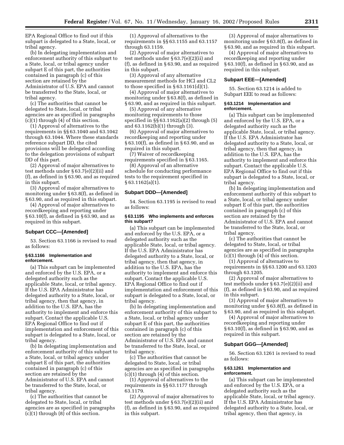EPA Regional Office to find out if this subpart is delegated to a State, local, or tribal agency.

(b) In delegating implementation and enforcement authority of this subpart to a State, local, or tribal agency under subpart E of this part, the authorities contained in paragraph (c) of this section are retained by the Administrator of U.S. EPA and cannot be transferred to the State, local, or tribal agency.

(c) The authorities that cannot be delegated to State, local, or tribal agencies are as specified in paragraphs (c)(1) through (4) of this section.

(1) Approval of alternatives to the requirements in §§ 63.1040 and 63.1042 through 63.1044. Where these standards reference subpart DD, the cited provisions will be delegated according to the delegation provisions of subpart DD of this part.

(2) Approval of major alternatives to test methods under § 63.7(e)(2)(ii) and (f), as defined in § 63.90, and as required in this subpart.

(3) Approval of major alternatives to monitoring under § 63.8(f), as defined in § 63.90, and as required in this subpart.

(4) Approval of major alternatives to recordkeeping and reporting under § 63.10(f), as defined in § 63.90, and as required in this subpart.

#### **Subpart CCC—[Amended]**

53. Section 63.1166 is revised to read as follows:

#### **§ 63.1166 Implementation and enforcement.**

(a) This subpart can be implemented and enforced by the U.S. EPA, or a delegated authority such as the applicable State, local, or tribal agency. If the U.S. EPA Administrator has delegated authority to a State, local, or tribal agency, then that agency, in addition to the U.S. EPA, has the authority to implement and enforce this subpart. Contact the applicable U.S. EPA Regional Office to find out if implementation and enforcement of this subpart is delegated to a State, local, or tribal agency.

(b) In delegating implementation and enforcement authority of this subpart to a State, local, or tribal agency under subpart E of this part, the authorities contained in paragraph (c) of this section are retained by the Administrator of U.S. EPA and cannot be transferred to the State, local, or tribal agency.

(c) The authorities that cannot be delegated to State, local, or tribal agencies are as specified in paragraphs (c)(1) through (8) of this section.

(1) Approval of alternatives to the requirements in §§ 63.1155 and 63.1157 through 63.1159.

(2) Approval of major alternatives to test methods under § 63.7(e)(2)(ii) and (f), as defined in § 63.90, and as required in this subpart.

(3) Approval of any alternative measurement methods for HCl and CL2 to those specified in  $\S 63.1161(d)(1)$ .

(4) Approval of major alternatives to monitoring under § 63.8(f), as defined in § 63.90, and as required in this subpart.

(5) Approval of any alternative monitoring requirements to those specified in §§ 63.1162(a)(2) through (5) and 63.1162(b)(1) through (3).

(6) Approval of major alternatives to recordkeeping and reporting under § 63.10(f), as defined in § 63.90, and as required in this subpart.

(7) Waiver of recordkeeping requirements specified in § 63.1165.

(8) Approval of an alternative schedule for conducting performance tests to the requirement specified in § 63.1162(a)(1).

#### **Subpart DDD—[Amended]**

54. Section 63.1195 is revised to read as follows:

#### **§ 63.1195 Who implements and enforces this subpart?**

(a) This subpart can be implemented and enforced by the U.S. EPA, or a delegated authority such as the applicable State, local, or tribal agency. If the U.S. EPA Administrator has delegated authority to a State, local, or tribal agency, then that agency, in addition to the U.S. EPA, has the authority to implement and enforce this subpart. Contact the applicable U.S. EPA Regional Office to find out if implementation and enforcement of this subpart is delegated to a State, local, or tribal agency.

(b) In delegating implementation and enforcement authority of this subpart to a State, local, or tribal agency under subpart E of this part, the authorities contained in paragraph (c) of this section are retained by the Administrator of U.S. EPA and cannot be transferred to the State, local, or tribal agency.

(c) The authorities that cannot be delegated to State, local, or tribal agencies are as specified in paragraphs (c)(1) through (4) of this section.

(1) Approval of alternatives to the requirements in §§ 63.1177 through 63.1179.

(2) Approval of major alternatives to test methods under § 63.7(e)(2)(ii) and (f), as defined in § 63.90, and as required in this subpart.

(3) Approval of major alternatives to monitoring under § 63.8(f), as defined in § 63.90, and as required in this subpart.

(4) Approval of major alternatives to recordkeeping and reporting under § 63.10(f), as defined in § 63.90, and as required in this subpart.

#### **Subpart EEE—[Amended]**

55. Section 63.1214 is added to Subpart EEE to read as follows:

#### **§ 63.1214 Implementation and enforcement.**

(a) This subpart can be implemented and enforced by the U.S. EPA, or a delegated authority such as the applicable State, local, or tribal agency. If the U.S. EPA Administrator has delegated authority to a State, local, or tribal agency, then that agency, in addition to the U.S. EPA, has the authority to implement and enforce this subpart. Contact the applicable U.S. EPA Regional Office to find out if this subpart is delegated to a State, local, or tribal agency.

(b) In delegating implementation and enforcement authority of this subpart to a State, local, or tribal agency under subpart E of this part, the authorities contained in paragraph (c) of this section are retained by the Administrator of U.S. EPA and cannot be transferred to the State, local, or tribal agency.

(c) The authorities that cannot be delegated to State, local, or tribal agencies are as specified in paragraphs (c)(1) through (4) of this section.

(1) Approval of alternatives to requirements in §§ 63.1200 and 63.1203 through 63.1205.

(2) Approval of major alternatives to test methods under § 63.7(e)(2)(ii) and (f), as defined in § 63.90, and as required in this subpart.

(3) Approval of major alternatives to monitoring under § 63.8(f), as defined in § 63.90, and as required in this subpart.

(4) Approval of major alternatives to recordkeeping and reporting under § 63.10(f), as defined in § 63.90, and as required in this subpart.

#### **Subpart GGG—[Amended]**

56. Section 63.1261 is revised to read as follows:

#### **§ 63.1261 Implementation and enforcement.**

(a) This subpart can be implemented and enforced by the U.S. EPA, or a delegated authority such as the applicable State, local, or tribal agency. If the U.S. EPA Administrator has delegated authority to a State, local, or tribal agency, then that agency, in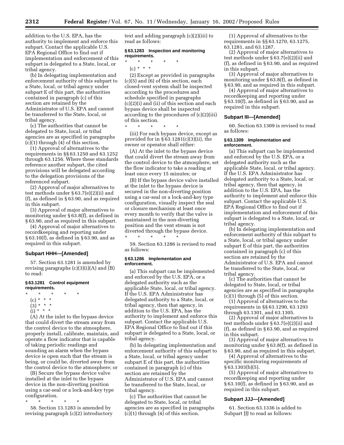addition to the U.S. EPA, has the authority to implement and enforce this subpart. Contact the applicable U.S. EPA Regional Office to find out if implementation and enforcement of this subpart is delegated to a State, local, or tribal agency.

(b) In delegating implementation and enforcement authority of this subpart to a State, local, or tribal agency under subpart E of this part, the authorities contained in paragraph (c) of this section are retained by the Administrator of U.S. EPA and cannot be transferred to the State, local, or tribal agency.

(c) The authorities that cannot be delegated to State, local, or tribal agencies are as specified in paragraphs (c)(1) through (4) of this section.

(1) Approval of alternatives to the requirements in §§ 63.1250 and 63.1252 through 63.1256. Where these standards reference another subpart, the cited provisions will be delegated according to the delegation provisions of the referenced subpart.

(2) Approval of major alternatives to test methods under § 63.7(e)(2)(ii) and (f), as defined in § 63.90, and as required in this subpart.

(3) Approval of major alternatives to monitoring under § 63.8(f), as defined in § 63.90, and as required in this subpart.

(4) Approval of major alternatives to recordkeeping and reporting under § 63.10(f), as defined in § 63.90, and as required in this subpart.

#### **Subpart HHH—[Amended]**

57. Section 63.1281 is amended by revising paragraphs  $(c)(3)(i)(A)$  and  $(B)$ to read:

#### **§ 63.1281 Control equipment requirements.**

\* \* \* \* \*

- (c) \* \* \*
- $(3) * * * *$
- $(i) * * * *$
- 

(A) At the inlet to the bypass device that could divert the stream away from the control device to the atmosphere, properly install, calibrate, maintain, and operate a flow indicator that is capable of taking periodic readings and sounding an alarm when the bypass device is open such that the stream is being, or could be, diverted away from the control device to the atmosphere; or

(B) Secure the bypass device valve installed at the inlet to the bypass device in the non-diverting position using a car-seal or a lock-and-key type configuration.

\* \* \* \* \* 58. Section 13.1283 is amended by revising paragraph (c)(2) introductory

text and adding paragraph (c)(2)(iii) to read as follows:

#### **§ 63.1283 Inspection and monitoring requirements.**

\* \* \* \* \*  $(c) * * * *$ 

(2) Except as provided in paragraphs (c)(5) and (6) of this section, each closed-vent system shall be inspected according to the procedures and schedule specified in paragraphs (c)(2)(i) and (ii) of this section and each bypass device shall be inspected according to the procedures of (c)(2)(iii) of this section.

\* \* \* \* \* (iii) For each bypass device, except as provided for in  $\S 63.1281(c)(3)(ii)$ , the owner or operator shall either:

(A) At the inlet to the bypass device that could divert the stream away from the control device to the atmosphere, set the flow indicator to take a reading at least once every 15 minutes; or

(B) If the bypass device valve installed at the inlet to the bypass device is secured in the non-diverting position using a car-seal or a lock-and-key type configuration, visually inspect the seal or closure mechanism at least once every month to verify that the valve is maintained in the non-diverting position and the vent stream is not diverted through the bypass device.

59. Section 63.1286 is revised to read as follows:

#### **§ 63.1286 Implementation and enforcement.**

\* \* \* \* \*

(a) This subpart can be implemented and enforced by the U.S. EPA, or a delegated authority such as the applicable State, local, or tribal agency. If the U.S. EPA Administrator has delegated authority to a State, local, or tribal agency, then that agency, in addition to the U.S. EPA, has the authority to implement and enforce this subpart. Contact the applicable U.S. EPA Regional Office to find out if this subpart is delegated to a State, local, or tribal agency.

(b) In delegating implementation and enforcement authority of this subpart to a State, local, or tribal agency under subpart E of this part, the authorities contained in paragraph (c) of this section are retained by the Administrator of U.S. EPA and cannot be transferred to the State, local, or tribal agency.

(c) The authorities that cannot be delegated to State, local, or tribal agencies are as specified in paragraphs (c)(1) through (4) of this section.

(1) Approval of alternatives to the requirements in §§ 63.1270, 63.1275, 63.1281, and 63.1287.

(2) Approval of major alternatives to test methods under § 63.7(e)(2)(ii) and (f), as defined in § 63.90, and as required in this subpart.

(3) Approval of major alternatives to monitoring under § 63.8(f), as defined in § 63.90, and as required in this subpart.

(4) Approval of major alternatives to recordkeeping and reporting under § 63.10(f), as defined in § 63.90, and as required in this subpart.

#### **Subpart III—[Amended]**

60. Section 63.1309 is revised to read as follows:

#### **§ 63.1309 Implementation and enforcement.**

(a) This subpart can be implemented and enforced by the U.S. EPA, or a delegated authority such as the applicable State, local, or tribal agency. If the U.S. EPA Administrator has delegated authority to a State, local, or tribal agency, then that agency, in addition to the U.S. EPA, has the authority to implement and enforce this subpart. Contact the applicable U.S. EPA Regional Office to find out if implementation and enforcement of this subpart is delegated to a State, local, or tribal agency.

(b) In delegating implementation and enforcement authority of this subpart to a State, local, or tribal agency under subpart E of this part, the authorities contained in paragraph (c) of this section are retained by the Administrator of U.S. EPA and cannot be transferred to the State, local, or tribal agency.

(c) The authorities that cannot be delegated to State, local, or tribal agencies are as specified in paragraphs (c)(1) through (5) of this section.

(1) Approval of alternatives to the requirements in §§ 63.1290, 63.1293 through 63.1301, and 63.1305.

(2) Approval of major alternatives to test methods under § 63.7(e)(2)(ii) and (f), as defined in § 63.90, and as required in this subpart.

(3) Approval of major alternatives to monitoring under § 63.8(f), as defined in § 63.90, and as required in this subpart.

(4) Approval of alternatives to the specific monitoring requirements of § 63.1303(b)(5).

(5) Approval of major alternatives to recordkeeping and reporting under § 63.10(f), as defined in § 63.90, and as required in this subpart.

#### **Subpart JJJ—[Amended]**

61. Section 63.1336 is added to Subpart JJJ to read as follows: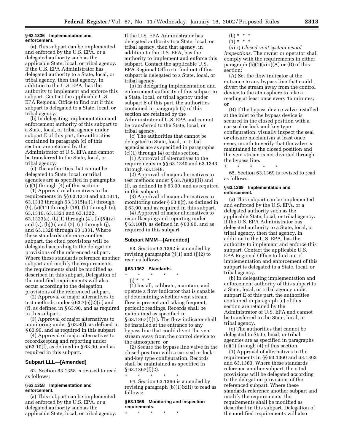#### **§ 63.1336 Implementation and enforcement.**

(a) This subpart can be implemented and enforced by the U.S. EPA, or a delegated authority such as the applicable State, local, or tribal agency. If the U.S. EPA Administrator has delegated authority to a State, local, or tribal agency, then that agency, in addition to the U.S. EPA, has the authority to implement and enforce this subpart. Contact the applicable U.S. EPA Regional Office to find out if this subpart is delegated to a State, local, or tribal agency.

(b) In delegating implementation and enforcement authority of this subpart to a State, local, or tribal agency under subpart E of this part, the authorities contained in paragraph (c) of this section are retained by the Administrator of U.S. EPA and cannot be transferred to the State, local, or tribal agency.

(c) The authorities that cannot be delegated to State, local, or tribal agencies are as specified in paragraphs (c)(1) through (4) of this section.

(1) Approval of alternatives to the requirements in §§ 63.1310 and 63.1311, 63.1313 through 63.1315(a)(1) through (9), (a)(11) through (18), (b) through (e), 63.1316, 63.1321 and 63.1322, 63.1323(a), (b)(1) through (4), (b)(5)(iv) and (v), (b)(6) and (7), (c) through (j), and 63.1328 through 63.1331. Where these standards reference another subpart, the cited provisions will be delegated according to the delegation provisions of the referenced subpart. Where these standards reference another subpart and modify the requirements, the requirements shall be modified as described in this subpart. Delegation of the modified requirements will also occur according to the delegation provisions of the referenced subpart.

(2) Approval of major alternatives to test methods under § 63.7(e)(2)(ii) and (f), as defined in § 63.90, and as required in this subpart.

(3) Approval of major alternatives to monitoring under § 63.8(f), as defined in § 63.90, and as required in this subpart.

(4) Approval of major alternatives to recordkeeping and reporting under § 63.10(f), as defined in § 63.90, and as required in this subpart.

#### **Subpart LLL—[Amended]**

62. Section 63.1358 is revised to read as follows:

#### **§ 63.1358 Implementation and enforcement.**

(a) This subpart can be implemented and enforced by the U.S. EPA, or a delegated authority such as the applicable State, local, or tribal agency.

If the U.S. EPA Administrator has delegated authority to a State, local, or tribal agency, then that agency, in addition to the U.S. EPA, has the authority to implement and enforce this subpart. Contact the applicable U.S. EPA Regional Office to find out if this subpart is delegated to a State, local, or tribal agency.

(b) In delegating implementation and enforcement authority of this subpart to a State, local, or tribal agency under subpart E of this part, the authorities contained in paragraph (c) of this section are retained by the Administrator of U.S. EPA and cannot be transferred to the State, local, or tribal agency.

(c) The authorities that cannot be delegated to State, local, or tribal agencies are as specified in paragraphs (c)(1) through (4) of this section.

(1) Approval of alternatives to the requirements in §§ 63.1340 and 63.1343 through 63.1348.

(2) Approval of major alternatives to test methods under § 63.7(e)(2)(ii) and (f), as defined in § 63.90, and as required in this subpart.

(3) Approval of major alternatives to monitoring under § 63.8(f), as defined in § 63.90, and as required in this subpart.

(4) Approval of major alternatives to recordkeeping and reporting under § 63.10(f), as defined in § 63.90, and as

#### **Subpart MMM—[Amended]**

required in this subpart.

63. Section 63.1362 is amended by revising paragraphs (j)(1) and (j)(2) to read as follows:

#### **§ 63.1362 Standards.**

#### \* \* \* \* \*

(j) \* \* \* (1) Install, calibrate, maintain, and operate a flow indicator that is capable of determining whether vent stream flow is present and taking frequent, periodic readings. Records shall be maintained as specified in § 63.1367(f)(1). The flow indicator shall be installed at the entrance to any bypass line that could divert the vent stream away from the control device to the atmosphere; or

(2) Secure the bypass line valve in the closed position with a car-seal or lockand-key type configuration. Records shall be maintained as specified in § 63.1367(f)(2).

\* \* \* \* \* 64. Section 63.1366 is amended by revising paragraph (b)(1)(xiii) to read as follows:

#### **§ 63.1366 Monitoring and inspection requirements.**

\* \* \* \* \*

(b)  $* * * *$ 

 $(1) * * * *$ (xiii) *Closed-vent system visual inspections.* The owner or operator shall comply with the requirements in either paragraph  $(b)(1)(xiii)(A)$  or  $(B)$  of this

section: (A) Set the flow indicator at the entrance to any bypass line that could divert the stream away from the control device to the atmosphere to take a reading at least once every 15 minutes; or

(B) If the bypass device valve installed at the inlet to the bypass device is secured in the closed position with a car-seal or lock-and-key type configuration, visually inspect the seal or closure mechanism at least once every month to verify that the valve is maintained in the closed position and the vent stream is not diverted through the bypass line.

\* \* \* \* \*

65. Section 63.1369 is revised to read as follows:

#### **§ 63.1369 Implementation and enforcement.**

(a) This subpart can be implemented and enforced by the U.S. EPA, or a delegated authority such as the applicable State, local, or tribal agency. If the U.S. EPA Administrator has delegated authority to a State, local, or tribal agency, then that agency, in addition to the U.S. EPA, has the authority to implement and enforce this subpart. Contact the applicable U.S. EPA Regional Office to find out if implementation and enforcement of this subpart is delegated to a State, local, or tribal agency.

(b) In delegating implementation and enforcement authority of this subpart to a State, local, or tribal agency under subpart E of this part, the authorities contained in paragraph (c) of this section are retained by the Administrator of U.S. EPA and cannot be transferred to the State, local, or tribal agency.

(c) The authorities that cannot be delegated to State, local, or tribal agencies are as specified in paragraphs  $(c)(1)$  through  $(4)$  of this section.

(1) Approval of alternatives to the requirements in §§ 63.1360 and 63.1362 and 63.1363. Where these standards reference another subpart, the cited provisions will be delegated according to the delegation provisions of the referenced subpart. Where these standards reference another subpart and modify the requirements, the requirements shall be modified as described in this subpart. Delegation of the modified requirements will also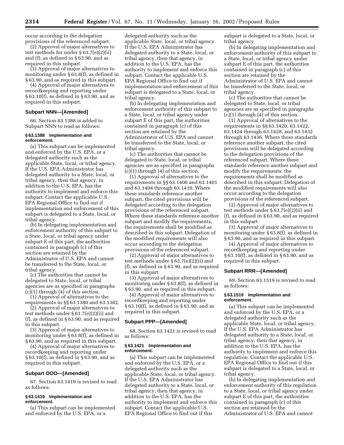occur according to the delegation provisions of the referenced subpart.

(2) Approval of major alternatives to test methods for under § 63.7(e)(2)(ii) and (f), as defined in § 63.90, and as required in this subpart.

(3) Approval of major alternatives to monitoring under § 63.8(f), as defined in § 63.90, and as required in this subpart.

(4) Approval of major alternatives to recordkeeping and reporting under § 63.10(f), as defined in § 63.90, and as required in this subpart.

#### **Subpart NNN—[Amended]**

66. Section 63.1388 is added to Subpart NNN to read as follows:

#### **§ 63.1388 Implementation and enforcement.**

(a) This subpart can be implemented and enforced by the U.S. EPA, or a delegated authority such as the applicable State, local, or tribal agency. If the U.S. EPA Administrator has delegated authority to a State, local, or tribal agency, then that agency, in addition to the U.S. EPA, has the authority to implement and enforce this subpart. Contact the applicable U.S. EPA Regional Office to find out if implementation and enforcement of this subpart is delegated to a State, local, or tribal agency.

(b) In delegating implementation and enforcement authority of this subpart to a State, local, or tribal agency under subpart E of this part, the authorities contained in paragraph (c) of this section are retained by the Administrator of U.S. EPA and cannot be transferred to the State, local, or tribal agency.

(c) The authorities that cannot be delegated to State, local, or tribal agencies are as specified in paragraphs (c)(1) through (4) of this section.

(1) Approval of alternatives to the requirements in §§ 63.1380 and 63.1382.

(2) Approval of major alternatives to test methods under § 63.7(e)(2)(ii) and (f), as defined in § 63.90, and as required in this subpart.

(3) Approval of major alternatives to monitoring under § 63.8(f), as defined in § 63.90, and as required in this subpart.

(4) Approval of major alternatives to recordkeeping and reporting under § 63.10(f), as defined in § 63.90, and as required in this subpart.

#### **Subpart OOO—[Amended]**

67. Section 63.1419 is revised to read as follows:

#### **§ 63.1419 Implementation and enforcement.**

(a) This subpart can be implemented and enforced by the U.S. EPA, or a

delegated authority such as the applicable State, local, or tribal agency. If the U.S. EPA Administrator has delegated authority to a State, local, or tribal agency, then that agency, in addition to the U.S. EPA, has the authority to implement and enforce this subpart. Contact the applicable U.S. EPA Regional Office to find out if implementation and enforcement of this subpart is delegated to a State, local, or tribal agency.

(b) In delegating implementation and enforcement authority of this subpart to a State, local, or tribal agency under subpart E of this part, the authorities contained in paragraph (c) of this section are retained by the Administrator of U.S. EPA and cannot be transferred to the State, local, or tribal agency.

(c) The authorities that cannot be delegated to State, local, or tribal agencies are as specified in paragraphs (c)(1) through (4) of this section.

(1) Approval of alternatives to the requirements in §§ 63.1400 and 63.1401 and 63.1404 through 63.1410. Where these standards reference another subpart, the cited provisions will be delegated according to the delegation provisions of the referenced subpart. Where these standards reference another subpart and modify the requirements, the requirements shall be modified as described in this subpart. Delegation of the modified requirements will also occur according to the delegation provisions of the referenced subpart.

(2) Approval of major alternatives to test methods under § 63.7(e)(2)(ii) and (f), as defined in § 63.90, and as required in this subpart.

(3) Approval of major alternatives to monitoring under § 63.8(f), as defined in § 63.90, and as required in this subpart.

(4) Approval of major alternatives to recordkeeping and reporting under § 63.10(f), as defined in § 63.90, and as required in this subpart.

#### **Subpart PPP—[Amended]**

68. Section 63.1421 is revised to read as follows:

#### **§ 63.1421 Implementation and enforcement.**

(a) This subpart can be implemented and enforced by the U.S. EPA, or a delegated authority such as the applicable State, local, or tribal agency. If the U.S. EPA Administrator has delegated authority to a State, local, or tribal agency, then that agency, in addition to the U.S. EPA, has the authority to implement and enforce this subpart. Contact the applicable U.S. EPA Regional Office to find out if this

subpart is delegated to a State, local, or tribal agency.

(b) In delegating implementation and enforcement authority of this subpart to a State, local, or tribal agency under subpart E of this part, the authorities contained in paragraph (c) of this section are retained by the Administrator of U.S. EPA and cannot be transferred to the State, local, or tribal agency.

(c) The authorities that cannot be delegated to State, local, or tribal agencies are as specified in paragraphs  $(c)(1)$  through  $(4)$  of this section.

(1) Approval of alternatives to the requirements in §§ 63.1420, 63.1422, 63.1424 through 63.1428, and 63.1432 through 63.1436. Where these standards reference another subpart, the cited provisions will be delegated according to the delegation provisions of the referenced subpart. Where these standards reference another subpart and modify the requirements, the requirements shall be modified as described in this subpart. Delegation of the modified requirements will also occur according to the delegation provisions of the referenced subpart.

(2) Approval of major alternatives to test methods under § 63.7(e)(2)(ii) and (f), as defined in § 63.90, and as required in this subpart.

(3) Approval of major alternatives to monitoring under § 63.8(f), as defined in § 63.90, and as required in this subpart.

(4) Approval of major alternatives to recordkeeping and reporting under § 63.10(f), as defined in § 63.90, and as required in this subpart.

#### **Subpart RRR—[Amended]**

69. Section 63.1519 is revised to read as follows:

#### **§ 63.1519 Implementation and enforcement.**

(a) This subpart can be implemented and enforced by the U.S. EPA, or a delegated authority such as the applicable State, local, or tribal agency. If the U.S. EPA Administrator has delegated authority to a State, local, or tribal agency, then that agency, in addition to the U.S. EPA, has the authority to implement and enforce this regulation. Contact the applicable U.S. EPA Regional Office to find out if this subpart is delegated to a State, local, or tribal agency.

(b) In delegating implementation and enforcement authority of this regulation to a State, local, or tribal agency under subpart E of this part, the authorities contained in paragraph (c) of this section are retained by the Administrator of U.S. EPA and cannot